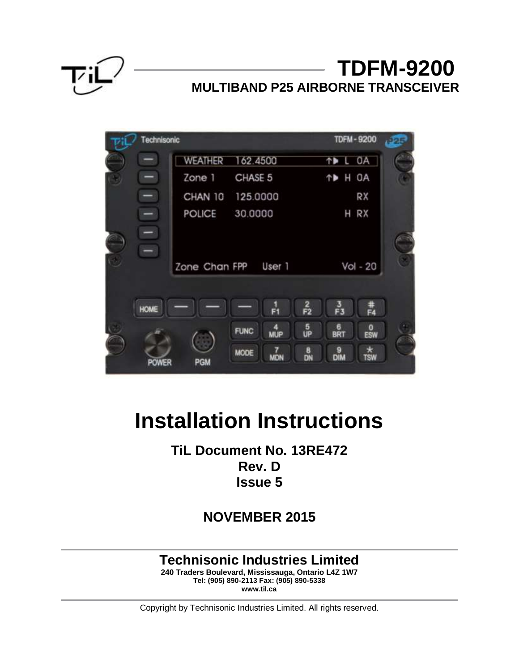

# **TDFM-9200 MULTIBAND P25 AIRBORNE TRANSCEIVER**



# **Installation Instructions**

**TiL Document No. 13RE472 Rev. D Issue 5**

**NOVEMBER 2015**

# **Technisonic Industries Limited**

**240 Traders Boulevard, Mississauga, Ontario L4Z 1W7 Tel: (905) 890-2113 Fax: (905) 890-5338 www.til.ca**

Copyright by Technisonic Industries Limited. All rights reserved.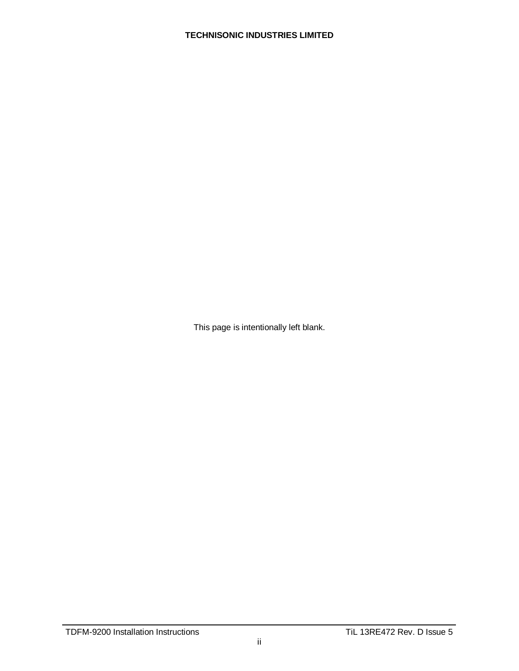This page is intentionally left blank.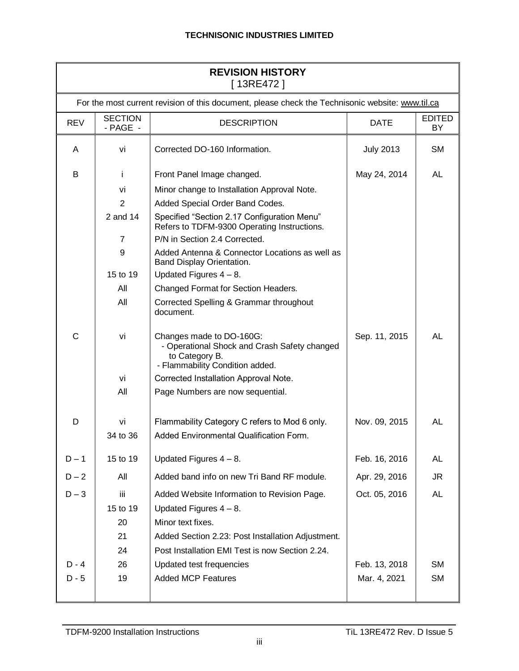| <b>REVISION HISTORY</b><br>[13RE472] |                            |                                                                                                                               |                  |                     |
|--------------------------------------|----------------------------|-------------------------------------------------------------------------------------------------------------------------------|------------------|---------------------|
|                                      |                            | For the most current revision of this document, please check the Technisonic website: www.til.ca                              |                  |                     |
| <b>REV</b>                           | <b>SECTION</b><br>- PAGE - | <b>DESCRIPTION</b>                                                                                                            | <b>DATE</b>      | <b>EDITED</b><br>BY |
| A                                    | vi                         | Corrected DO-160 Information.                                                                                                 | <b>July 2013</b> | <b>SM</b>           |
| B                                    | Ť                          | Front Panel Image changed.                                                                                                    | May 24, 2014     | AL                  |
|                                      | vi                         | Minor change to Installation Approval Note.                                                                                   |                  |                     |
|                                      | 2                          | Added Special Order Band Codes.                                                                                               |                  |                     |
|                                      | 2 and 14                   | Specified "Section 2.17 Configuration Menu"<br>Refers to TDFM-9300 Operating Instructions.                                    |                  |                     |
|                                      | $\overline{7}$             | P/N in Section 2.4 Corrected.                                                                                                 |                  |                     |
|                                      | 9                          | Added Antenna & Connector Locations as well as<br>Band Display Orientation.                                                   |                  |                     |
|                                      | 15 to 19                   | Updated Figures $4 - 8$ .                                                                                                     |                  |                     |
|                                      | All                        | Changed Format for Section Headers.                                                                                           |                  |                     |
|                                      | All                        | Corrected Spelling & Grammar throughout<br>document.                                                                          |                  |                     |
| C                                    | vi                         | Changes made to DO-160G:<br>- Operational Shock and Crash Safety changed<br>to Category B.<br>- Flammability Condition added. | Sep. 11, 2015    | AL                  |
|                                      | vi                         | Corrected Installation Approval Note.                                                                                         |                  |                     |
|                                      | All                        | Page Numbers are now sequential.                                                                                              |                  |                     |
| D                                    | vi<br>34 to 36             | Flammability Category C refers to Mod 6 only.<br>Added Environmental Qualification Form.                                      | Nov. 09, 2015    | AL                  |
| $D - 1$                              | 15 to 19                   | Updated Figures $4 - 8$ .                                                                                                     | Feb. 16, 2016    | AL                  |
| $D - 2$                              | All                        | Added band info on new Tri Band RF module.                                                                                    | Apr. 29, 2016    | JR.                 |
| $D-3$                                | iii                        | Added Website Information to Revision Page.                                                                                   | Oct. 05, 2016    | AL                  |
|                                      | 15 to 19                   | Updated Figures $4 - 8$ .                                                                                                     |                  |                     |
|                                      | 20                         | Minor text fixes.                                                                                                             |                  |                     |
|                                      | 21                         | Added Section 2.23: Post Installation Adjustment.                                                                             |                  |                     |
|                                      | 24                         | Post Installation EMI Test is now Section 2.24.                                                                               |                  |                     |
| $D - 4$                              | 26                         | Updated test frequencies                                                                                                      | Feb. 13, 2018    | <b>SM</b>           |
| D - 5                                | 19                         | <b>Added MCP Features</b>                                                                                                     | Mar. 4, 2021     | <b>SM</b>           |
|                                      |                            |                                                                                                                               |                  |                     |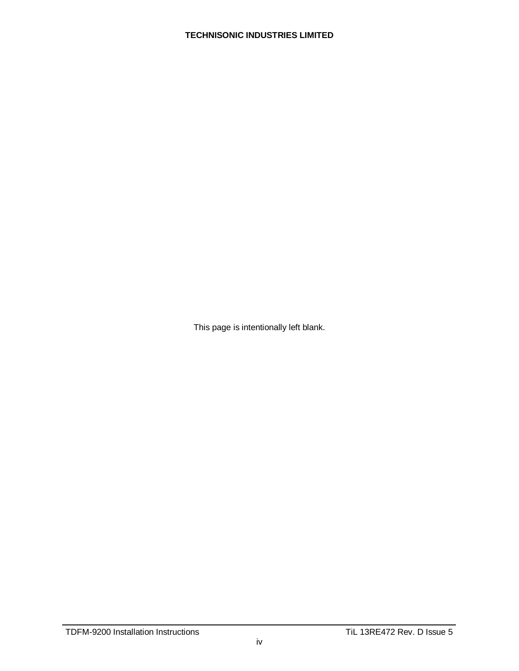This page is intentionally left blank.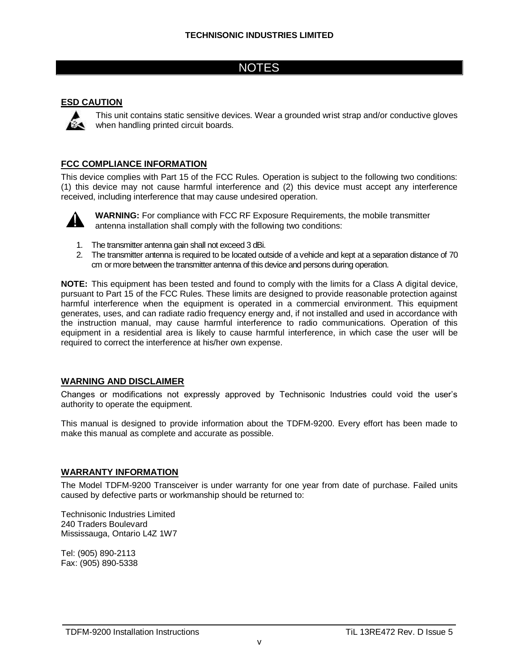# **NOTES**

#### **ESD CAUTION**

This unit contains static sensitive devices. Wear a grounded wrist strap and/or conductive gloves when handling printed circuit boards.

#### **FCC COMPLIANCE INFORMATION**

This device complies with Part 15 of the FCC Rules. Operation is subject to the following two conditions: (1) this device may not cause harmful interference and (2) this device must accept any interference received, including interference that may cause undesired operation.



**WARNING:** For compliance with FCC RF Exposure Requirements, the mobile transmitter antenna installation shall comply with the following two conditions:

- 1. The transmitter antenna gain shall not exceed 3 dBi.
- 2. The transmitter antenna is required to be located outside of a vehicle and kept at a separation distance of 70 cm or more between the transmitter antenna of this device and persons during operation.

**NOTE:** This equipment has been tested and found to comply with the limits for a Class A digital device, pursuant to Part 15 of the FCC Rules. These limits are designed to provide reasonable protection against harmful interference when the equipment is operated in a commercial environment. This equipment generates, uses, and can radiate radio frequency energy and, if not installed and used in accordance with the instruction manual, may cause harmful interference to radio communications. Operation of this equipment in a residential area is likely to cause harmful interference, in which case the user will be required to correct the interference at his/her own expense.

#### **WARNING AND DISCLAIMER**

Changes or modifications not expressly approved by Technisonic Industries could void the user's authority to operate the equipment.

This manual is designed to provide information about the TDFM-9200. Every effort has been made to make this manual as complete and accurate as possible.

#### **WARRANTY INFORMATION**

The Model TDFM-9200 Transceiver is under warranty for one year from date of purchase. Failed units caused by defective parts or workmanship should be returned to:

Technisonic Industries Limited 240 Traders Boulevard Mississauga, Ontario L4Z 1W7

Tel: (905) 890-2113 Fax: (905) 890-5338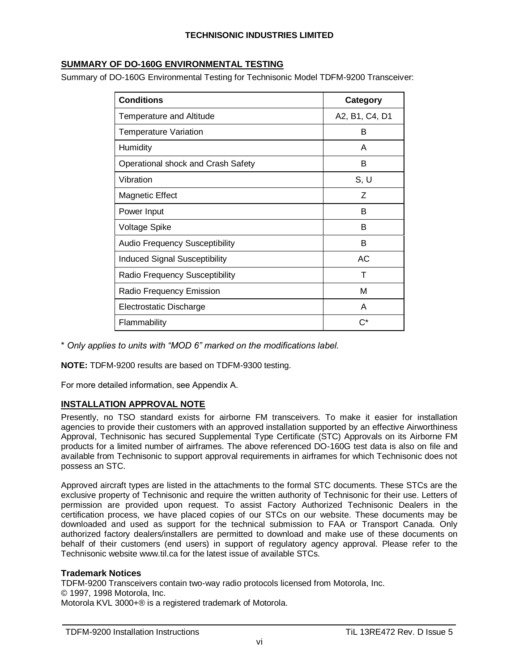#### **SUMMARY OF DO-160G ENVIRONMENTAL TESTING**

Summary of DO-160G Environmental Testing for Technisonic Model TDFM-9200 Transceiver:

| <b>Conditions</b>                     | <b>Category</b> |
|---------------------------------------|-----------------|
| <b>Temperature and Altitude</b>       | A2, B1, C4, D1  |
| <b>Temperature Variation</b>          | в               |
| Humidity                              | A               |
| Operational shock and Crash Safety    | в               |
| Vibration                             | S, U            |
| <b>Magnetic Effect</b>                | 7               |
| Power Input                           | B               |
| <b>Voltage Spike</b>                  | в               |
| <b>Audio Frequency Susceptibility</b> | В               |
| <b>Induced Signal Susceptibility</b>  | АC              |
| Radio Frequency Susceptibility        | т               |
| Radio Frequency Emission              | м               |
| Electrostatic Discharge               | A               |
| Flammability                          | C*              |

\* *Only applies to units with "MOD 6" marked on the modifications label.*

**NOTE:** TDFM-9200 results are based on TDFM-9300 testing.

For more detailed information, see Appendix A.

#### **INSTALLATION APPROVAL NOTE**

Presently, no TSO standard exists for airborne FM transceivers. To make it easier for installation agencies to provide their customers with an approved installation supported by an effective Airworthiness Approval, Technisonic has secured Supplemental Type Certificate (STC) Approvals on its Airborne FM products for a limited number of airframes. The above referenced DO-160G test data is also on file and available from Technisonic to support approval requirements in airframes for which Technisonic does not possess an STC.

Approved aircraft types are listed in the attachments to the formal STC documents. These STCs are the exclusive property of Technisonic and require the written authority of Technisonic for their use. Letters of permission are provided upon request. To assist Factory Authorized Technisonic Dealers in the certification process, we have placed copies of our STCs on our website. These documents may be downloaded and used as support for the technical submission to FAA or Transport Canada. Only authorized factory dealers/installers are permitted to download and make use of these documents on behalf of their customers (end users) in support of regulatory agency approval. Please refer to the Technisonic website www.til.ca for the latest issue of available STCs.

#### **Trademark Notices**

TDFM-9200 Transceivers contain two-way radio protocols licensed from Motorola, Inc. © 1997, 1998 Motorola, Inc. Motorola KVL 3000+® is a registered trademark of Motorola.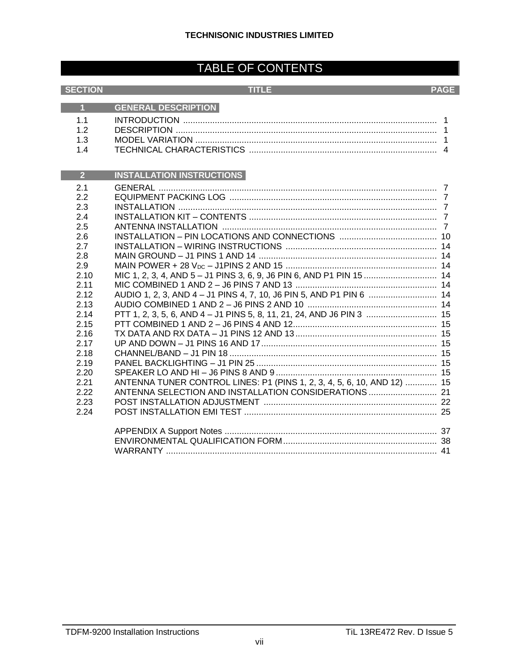# TABLE OF CONTENTS

#### **SECTION TITLE PAGE 1 GENERAL DESCRIPTION** 1.1 INTRODUCTION ........................................................................................................ 1 1.2 DESCRIPTION ........................................................................................................... 1 1.3 MODEL VARIATION ................................................................................................... 1 1.4 TECHNICAL CHARACTERISTICS ............................................................................. 4 **2** INSTALLATION INSTRUCTIONS 2.1 GENERAL .................................................................................................................. 7 2.2 EQUIPMENT PACKING LOG ..................................................................................... 7 2.3 INSTALLATION .......................................................................................................... 7 2.4 INSTALLATION KIT – CONTENTS ............................................................................. 7 2.5 ANTENNA INSTALLATION ........................................................................................ 7 2.6 INSTALLATION – PIN LOCATIONS AND CONNECTIONS ........................................ 10 2.7 INSTALLATION – WIRING INSTRUCTIONS .............................................................. 14 2.8 MAIN GROUND – J1 PINS 1 AND 14 ......................................................................... 14 2.9 MAIN POWER + 28 VDC – J1PINS 2 AND 15 .............................................................. 14 2.10 MIC 1, 2, 3, 4, AND 5 – J1 PINS 3, 6, 9, J6 PIN 6, AND P1 PIN 15 .............................. 14 2.11 MIC COMBINED 1 AND 2 – J6 PINS 7 AND 13 .......................................................... 14 2.12 AUDIO 1, 2, 3, AND 4 – J1 PINS 4, 7, 10, J6 PIN 5, AND P1 PIN 6 ............................ 14 2.13 AUDIO COMBINED 1 AND 2 – J6 PINS 2 AND 10 ..................................................... 14 2.14 PTT 1, 2, 3, 5, 6, AND 4 – J1 PINS 5, 8, 11, 21, 24, AND J6 PIN 3 ............................. 15 2.15 PTT COMBINED 1 AND 2 – J6 PINS 4 AND 12........................................................... 15 2.16 TX DATA AND RX DATA – J1 PINS 12 AND 13 .......................................................... 15 2.17 UP AND DOWN – J1 PINS 16 AND 17........................................................................ 15 2.18 CHANNEL/BAND – J1 PIN 18 ..................................................................................... 15 2.19 PANEL BACKLIGHTING – J1 PIN 25 .......................................................................... 15 2.20 SPEAKER LO AND HI – J6 PINS 8 AND 9 .................................................................. 15 2.21 ANTENNA TUNER CONTROL LINES: P1 (PINS 1, 2, 3, 4, 5, 6, 10, AND 12) ............. 15 2.22 ANTENNA SELECTION AND INSTALLATION CONSIDERATIONS ............................ 21 2.23 POST INSTALLATION ADJUSTMENT ....................................................................... 22 2.24 POST INSTALLATION EMI TEST ............................................................................... 25 APPENDIX A Support Notes ....................................................................................... 37 ENVIRONMENTAL QUALIFICATION FORM............................................................... 38 WARRANTY ............................................................................................................... 41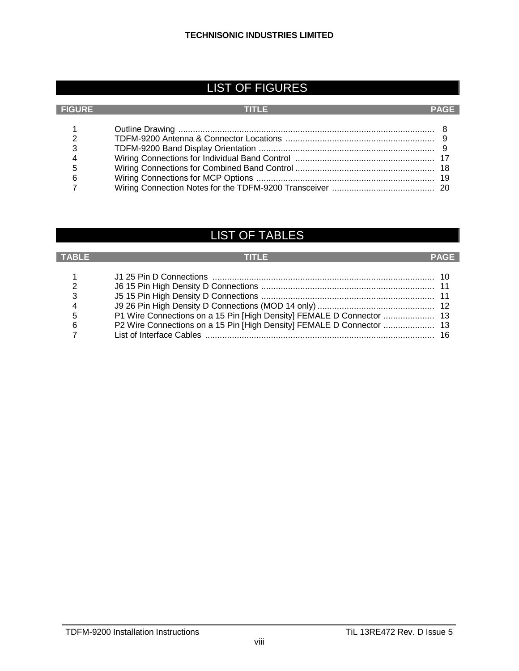# LIST OF FIGURES

| <b>FIGURE</b> | n in La | <b>PAGE</b> |
|---------------|---------|-------------|
|               |         |             |
|               |         |             |
|               |         |             |
| 3             |         |             |
|               |         |             |
|               |         |             |
|               |         |             |
|               |         |             |

# LIST OF TABLES

#### **TABLE TITLE PAGE** J1 25 Pin D Connections ........................................................................................... 10 J6 15 Pin High Density D Connections ....................................................................... 11 J5 15 Pin High Density D Connections ....................................................................... 11 J9 26 Pin High Density D Connections (MOD 14 only) ................................................ 12 P1 Wire Connections on a 15 Pin [High Density] FEMALE D Connector ..................... 13 P2 Wire Connections on a 15 Pin [High Density] FEMALE D Connector ..................... 13 List of Interface Cables .............................................................................................. 16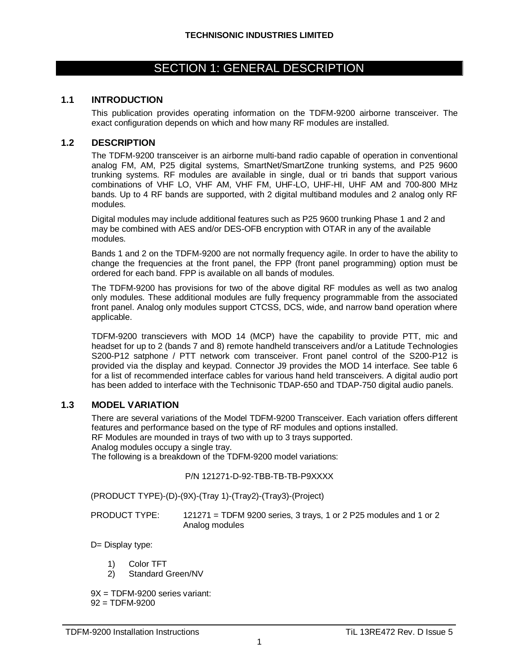# SECTION 1: GENERAL DESCRIPTION

#### **1.1 INTRODUCTION**

This publication provides operating information on the TDFM-9200 airborne transceiver. The exact configuration depends on which and how many RF modules are installed.

#### **1.2 DESCRIPTION**

The TDFM-9200 transceiver is an airborne multi-band radio capable of operation in conventional analog FM, AM, P25 digital systems, SmartNet/SmartZone trunking systems, and P25 9600 trunking systems. RF modules are available in single, dual or tri bands that support various combinations of VHF LO, VHF AM, VHF FM, UHF-LO, UHF-HI, UHF AM and 700-800 MHz bands. Up to 4 RF bands are supported, with 2 digital multiband modules and 2 analog only RF modules.

Digital modules may include additional features such as P25 9600 trunking Phase 1 and 2 and may be combined with AES and/or DES-OFB encryption with OTAR in any of the available modules.

Bands 1 and 2 on the TDFM-9200 are not normally frequency agile. In order to have the ability to change the frequencies at the front panel, the FPP (front panel programming) option must be ordered for each band. FPP is available on all bands of modules.

The TDFM-9200 has provisions for two of the above digital RF modules as well as two analog only modules. These additional modules are fully frequency programmable from the associated front panel. Analog only modules support CTCSS, DCS, wide, and narrow band operation where applicable.

TDFM-9200 transcievers with MOD 14 (MCP) have the capability to provide PTT, mic and headset for up to 2 (bands 7 and 8) remote handheld transceivers and/or a Latitude Technologies S200-P12 satphone / PTT network com transceiver. Front panel control of the S200-P12 is provided via the display and keypad. Connector J9 provides the MOD 14 interface. See table 6 for a list of recommended interface cables for various hand held transceivers. A digital audio port has been added to interface with the Technisonic TDAP-650 and TDAP-750 digital audio panels.

#### **1.3 MODEL VARIATION**

There are several variations of the Model TDFM-9200 Transceiver. Each variation offers different features and performance based on the type of RF modules and options installed. RF Modules are mounded in trays of two with up to 3 trays supported. Analog modules occupy a single tray. The following is a breakdown of the TDFM-9200 model variations:

P/N 121271-D-92-TBB-TB-TB-P9XXXX

(PRODUCT TYPE)-(D)-(9X)-(Tray 1)-(Tray2)-(Tray3)-(Project)

PRODUCT TYPE: 121271 = TDFM 9200 series, 3 trays, 1 or 2 P25 modules and 1 or 2 Analog modules

D= Display type:

- 1) Color TFT
- 2) Standard Green/NV

9X = TDFM-9200 series variant:

 $92 = TDFM-9200$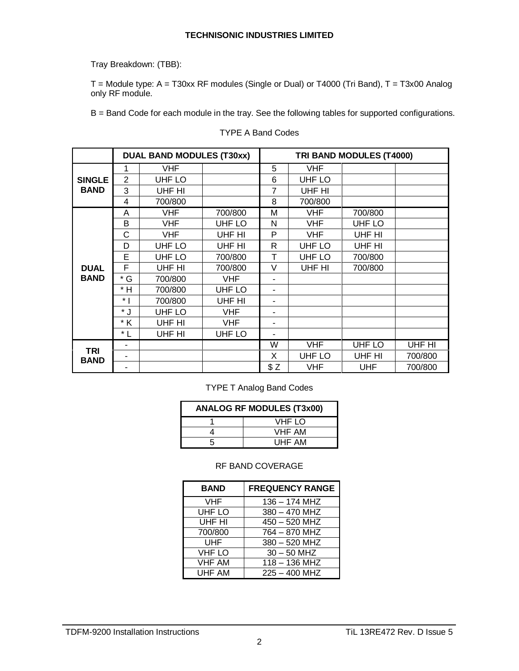Tray Breakdown: (TBB):

 $T =$  Module type: A = T30xx RF modules (Single or Dual) or T4000 (Tri Band),  $T = T3x00$  Analog only RF module.

B = Band Code for each module in the tray. See the following tables for supported configurations.

|                    | <b>DUAL BAND MODULES (T30xx)</b> |            |            | TRI BAND MODULES (T4000) |            |            |         |
|--------------------|----------------------------------|------------|------------|--------------------------|------------|------------|---------|
|                    | 1                                | <b>VHF</b> |            | 5                        | <b>VHF</b> |            |         |
| <b>SINGLE</b>      | $\overline{2}$                   | UHF LO     |            | 6                        | UHF LO     |            |         |
| <b>BAND</b>        | 3                                | UHF HI     |            | 7                        | UHF HI     |            |         |
|                    | $\overline{\mathbf{4}}$          | 700/800    |            | 8                        | 700/800    |            |         |
|                    | A                                | <b>VHF</b> | 700/800    | M                        | <b>VHF</b> | 700/800    |         |
|                    | B                                | <b>VHF</b> | UHF LO     | N                        | <b>VHF</b> | UHF LO     |         |
|                    | C                                | <b>VHF</b> | UHF HI     | P                        | <b>VHF</b> | UHF HI     |         |
|                    | D                                | UHF LO     | UHF HI     | $\mathsf{R}$             | UHF LO     | UHF HI     |         |
|                    | E                                | UHF LO     | 700/800    | т                        | UHF LO     | 700/800    |         |
| <b>DUAL</b>        | F                                | UHF HI     | 700/800    | $\vee$                   | UHF HI     | 700/800    |         |
| <b>BAND</b>        | * G                              | 700/800    | <b>VHF</b> | ۰                        |            |            |         |
|                    | * H                              | 700/800    | UHF LO     |                          |            |            |         |
|                    | $*1$                             | 700/800    | UHF HI     | ۰                        |            |            |         |
|                    | * J                              | UHF LO     | <b>VHF</b> | ۰                        |            |            |         |
|                    | $*$ K                            | UHF HI     | <b>VHF</b> | ۰                        |            |            |         |
|                    | $^{\star}$ L                     | UHF HI     | UHF LO     |                          |            |            |         |
|                    |                                  |            |            | W                        | <b>VHF</b> | UHF LO     | UHF HI  |
| TRI<br><b>BAND</b> |                                  |            |            | X                        | UHF LO     | UHF HI     | 700/800 |
|                    |                                  |            |            | \$Z                      | <b>VHF</b> | <b>UHF</b> | 700/800 |

#### TYPE A Band Codes

#### TYPE T Analog Band Codes

| <b>ANALOG RF MODULES (T3x00)</b> |        |  |
|----------------------------------|--------|--|
|                                  | VHF LO |  |
|                                  | VHF AM |  |
| 5                                | UHF AM |  |

#### RF BAND COVERAGE

| <b>BAND</b>   | <b>FREQUENCY RANGE</b> |
|---------------|------------------------|
| <b>VHF</b>    | 136 - 174 MHZ          |
| UHF LO        | 380 - 470 MHZ          |
| UHF HI        | 450 - 520 MHZ          |
| 700/800       | 764 - 870 MHZ          |
| <b>UHF</b>    | 380 - 520 MHZ          |
| <b>VHF LO</b> | $30 - 50$ MHZ          |
| <b>VHF AM</b> | $118 - 136$ MHZ        |
| UHF AM        | $225 - 400$ MHZ        |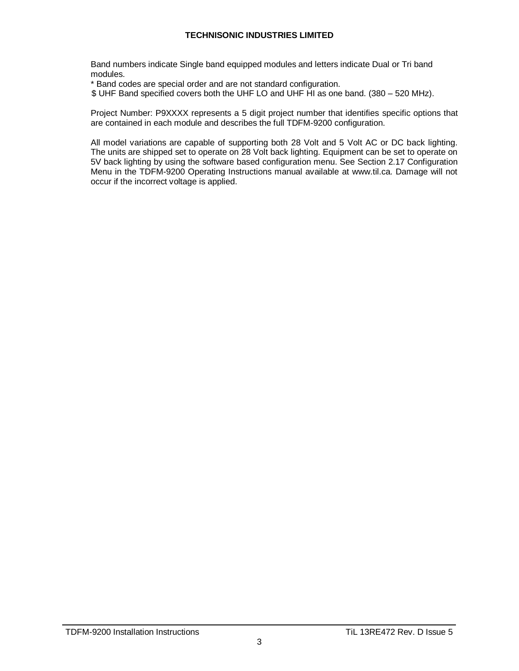Band numbers indicate Single band equipped modules and letters indicate Dual or Tri band modules.

\* Band codes are special order and are not standard configuration.

\$ UHF Band specified covers both the UHF LO and UHF HI as one band. (380 – 520 MHz).

Project Number: P9XXXX represents a 5 digit project number that identifies specific options that are contained in each module and describes the full TDFM-9200 configuration.

All model variations are capable of supporting both 28 Volt and 5 Volt AC or DC back lighting. The units are shipped set to operate on 28 Volt back lighting. Equipment can be set to operate on 5V back lighting by using the software based configuration menu. See Section 2.17 Configuration Menu in the TDFM-9200 Operating Instructions manual available at www.til.ca. Damage will not occur if the incorrect voltage is applied.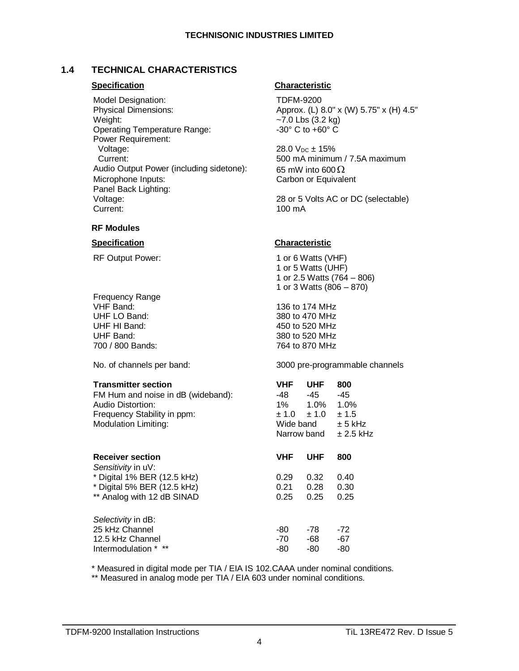### **1.4 TECHNICAL CHARACTERISTICS**

Model Designation: TDFM-9200 Physical Dimensions:  $\blacksquare$  Approx. (L) 8.0" x (W) 5.75" x (H) 4.5" Weight:  $\sim$ 7.0 Lbs (3.2 kg)<br>Operating Temperature Range:  $\sim$  30° C to +60° C Operating Temperature Range: Power Requirement: Voltage: Current: Audio Output Power (including sidetone): Microphone Inputs: Carbon or Equivalent Panel Back Lighting: Voltage: Current:

#### **RF Modules**

Frequency Range VHF Band: UHF LO Band: UHF HI Band: UHF Band: 700 / 800 Bands:

#### **Transmitter section**

FM Hum and noise in dB (wideband): Audio Distortion: Frequency Stability in ppm: Modulation Limiting:

| <b>Receiver section</b><br>Sensitivity in uV: | <b>VHF</b> | <b>UHF</b> | 800   |
|-----------------------------------------------|------------|------------|-------|
| * Digital 1% BER (12.5 kHz)                   | 0.29       | 0.32       | 0.40  |
|                                               |            |            |       |
| * Digital 5% BER (12.5 kHz)                   | 0.21       | 0.28       | 0.30  |
| ** Analog with 12 dB SINAD                    | 0.25       | 0.25       | 0.25  |
| Selectivity in dB:                            |            |            |       |
| 25 kHz Channel                                | -80        | -78        | $-72$ |
| 12.5 kHz Channel                              | $-70$      | -68        | -67   |
| Intermodulation * **                          | -80        | -80        | -80   |

\* Measured in digital mode per TIA / EIA IS 102.CAAA under nominal conditions.

\*\* Measured in analog mode per TIA / EIA 603 under nominal conditions.

#### **Specification Characteristic**

 $28.0 V_{DC} \pm 15%$ 500 mA minimum / 7.5A maximum 65 mW into 600  $\Omega$ 

28 or 5 Volts AC or DC (selectable) 100 mA

#### **Specification Characteristic**

RF Output Power: 1 or 6 Watts (VHF) 1 or 5 Watts (UHF) 1 or 2.5 Watts (764 – 806) 1 or 3 Watts (806 – 870)

> 136 to 174 MHz 380 to 470 MHz 450 to 520 MHz 380 to 520 MHz 764 to 870 MHz

No. of channels per band: 3000 pre-programmable channels

| VHF         | <b>UHF</b> | 800       |
|-------------|------------|-----------|
| -48         | -45        | -45       |
| $1\%$       | 1.0%       | 1.0%      |
| ± 1.0       | $\pm 1.0$  | ± 1.5     |
| Wide band   |            | ± 5 kHz   |
| Narrow band |            | ± 2.5 kHz |
|             |            |           |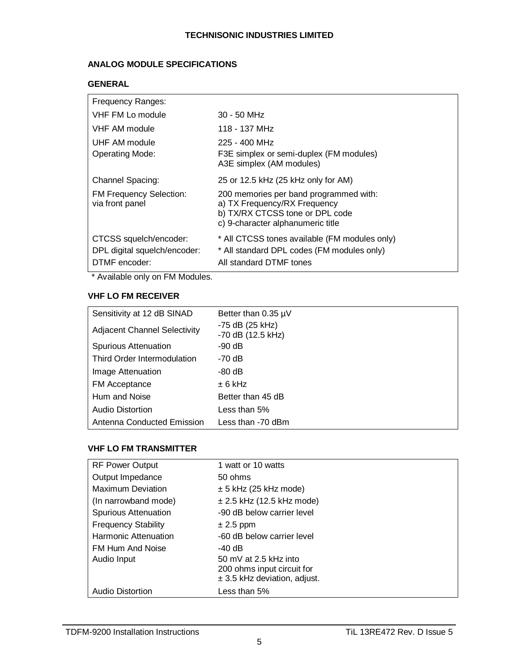#### **ANALOG MODULE SPECIFICATIONS**

#### **GENERAL**

| Frequency Ranges:                                                       |                                                                                                                                                |
|-------------------------------------------------------------------------|------------------------------------------------------------------------------------------------------------------------------------------------|
| VHF FM Lo module                                                        | $30 - 50$ MHz                                                                                                                                  |
| VHF AM module                                                           | 118 - 137 MHz                                                                                                                                  |
| UHF AM module                                                           | 225 - 400 MHz                                                                                                                                  |
| <b>Operating Mode:</b>                                                  | F3E simplex or semi-duplex (FM modules)<br>A3E simplex (AM modules)                                                                            |
| Channel Spacing:                                                        | 25 or 12.5 kHz (25 kHz only for AM)                                                                                                            |
| FM Frequency Selection:<br>via front panel                              | 200 memories per band programmed with:<br>a) TX Frequency/RX Frequency<br>b) TX/RX CTCSS tone or DPL code<br>c) 9-character alphanumeric title |
| CTCSS squelch/encoder:<br>DPL digital squelch/encoder:<br>DTMF encoder: | * All CTCSS tones available (FM modules only)<br>* All standard DPL codes (FM modules only)<br>All standard DTMF tones                         |

\* Available only on FM Modules.

### **VHF LO FM RECEIVER**

| Sensitivity at 12 dB SINAD          | Better than $0.35 \mu V$             |
|-------------------------------------|--------------------------------------|
| <b>Adjacent Channel Selectivity</b> | -75 dB (25 kHz)<br>-70 dB (12.5 kHz) |
| Spurious Attenuation                | $-90$ dB                             |
| Third Order Intermodulation         | -70 dB                               |
| Image Attenuation                   | $-80$ dB                             |
| FM Acceptance                       | $± 6$ kHz                            |
| Hum and Noise                       | Better than 45 dB                    |
| <b>Audio Distortion</b>             | Less than 5%                         |
| Antenna Conducted Emission          | Less than -70 dBm                    |

#### **VHF LO FM TRANSMITTER**

| <b>RF Power Output</b>      | 1 watt or 10 watts               |
|-----------------------------|----------------------------------|
| Output Impedance            | 50 ohms                          |
| <b>Maximum Deviation</b>    | $\pm$ 5 kHz (25 kHz mode)        |
| (In narrowband mode)        | $\pm$ 2.5 kHz (12.5 kHz mode)    |
| <b>Spurious Attenuation</b> | -90 dB below carrier level       |
| <b>Frequency Stability</b>  | $\pm 2.5$ ppm                    |
| Harmonic Attenuation        | -60 dB below carrier level       |
| FM Hum And Noise            | -40 dB                           |
| Audio Input                 | 50 mV at 2.5 kHz into            |
|                             | 200 ohms input circuit for       |
|                             | $\pm$ 3.5 kHz deviation, adjust. |
| <b>Audio Distortion</b>     | Less than $5\%$                  |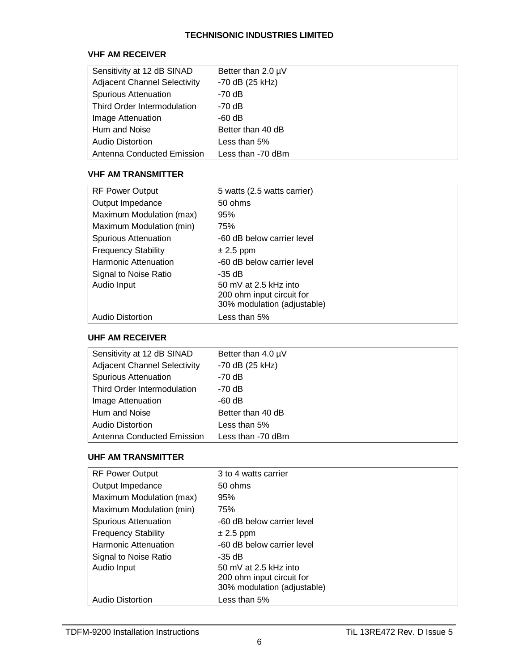#### **VHF AM RECEIVER**

| Sensitivity at 12 dB SINAD          | Better than 2.0 µV |
|-------------------------------------|--------------------|
| <b>Adjacent Channel Selectivity</b> | -70 dB (25 kHz)    |
| <b>Spurious Attenuation</b>         | -70 dB             |
| Third Order Intermodulation         | -70 dB             |
| Image Attenuation                   | $-60$ dB           |
| Hum and Noise                       | Better than 40 dB  |
| <b>Audio Distortion</b>             | Less than 5%       |
| Antenna Conducted Emission          | Less than -70 dBm  |

#### **VHF AM TRANSMITTER**

| <b>RF Power Output</b>     | 5 watts (2.5 watts carrier) |
|----------------------------|-----------------------------|
| Output Impedance           | 50 ohms                     |
| Maximum Modulation (max)   | 95%                         |
| Maximum Modulation (min)   | 75%                         |
| Spurious Attenuation       | -60 dB below carrier level  |
| <b>Frequency Stability</b> | $\pm 2.5$ ppm               |
| Harmonic Attenuation       | -60 dB below carrier level  |
| Signal to Noise Ratio      | -35 dB                      |
| Audio Input                | 50 mV at 2.5 kHz into       |
|                            | 200 ohm input circuit for   |
|                            | 30% modulation (adjustable) |
| <b>Audio Distortion</b>    | Less than 5%                |

#### **UHF AM RECEIVER**

| Sensitivity at 12 dB SINAD          | Better than 4.0 $\mu$ V |
|-------------------------------------|-------------------------|
| <b>Adjacent Channel Selectivity</b> | -70 dB (25 kHz)         |
| <b>Spurious Attenuation</b>         | -70 dB                  |
| Third Order Intermodulation         | -70 dB                  |
| Image Attenuation                   | $-60$ dB                |
| Hum and Noise                       | Better than 40 dB       |
| <b>Audio Distortion</b>             | Less than 5%            |
| Antenna Conducted Emission          | Less than -70 dBm       |

#### **UHF AM TRANSMITTER**

| <b>RF Power Output</b>      | 3 to 4 watts carrier        |
|-----------------------------|-----------------------------|
| Output Impedance            | 50 ohms                     |
| Maximum Modulation (max)    | 95%                         |
| Maximum Modulation (min)    | 75%                         |
| <b>Spurious Attenuation</b> | -60 dB below carrier level  |
| <b>Frequency Stability</b>  | $\pm 2.5$ ppm               |
| Harmonic Attenuation        | -60 dB below carrier level  |
| Signal to Noise Ratio       | $-35$ dB                    |
| Audio Input                 | 50 mV at 2.5 kHz into       |
|                             | 200 ohm input circuit for   |
|                             | 30% modulation (adjustable) |
| <b>Audio Distortion</b>     | Less than $5\%$             |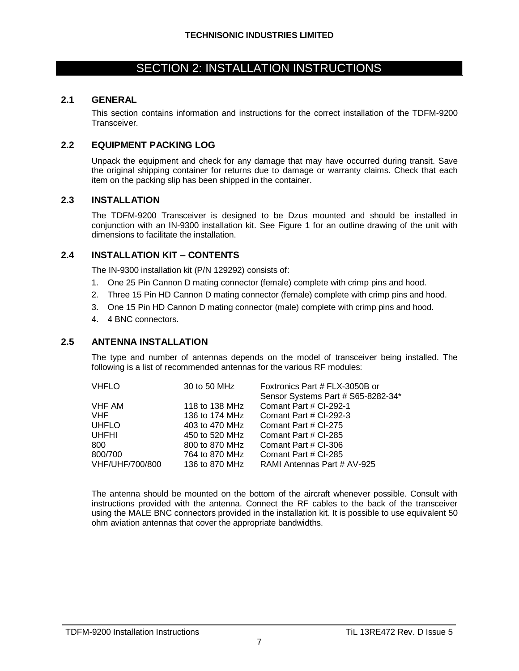# SECTION 2: INSTALLATION INSTRUCTIONS

#### **2.1 GENERAL**

This section contains information and instructions for the correct installation of the TDFM-9200 Transceiver.

#### **2.2 EQUIPMENT PACKING LOG**

Unpack the equipment and check for any damage that may have occurred during transit. Save the original shipping container for returns due to damage or warranty claims. Check that each item on the packing slip has been shipped in the container.

#### **2.3 INSTALLATION**

The TDFM-9200 Transceiver is designed to be Dzus mounted and should be installed in conjunction with an IN-9300 installation kit. See Figure 1 for an outline drawing of the unit with dimensions to facilitate the installation.

#### **2.4 INSTALLATION KIT – CONTENTS**

The IN-9300 installation kit (P/N 129292) consists of:

- 1. One 25 Pin Cannon D mating connector (female) complete with crimp pins and hood.
- 2. Three 15 Pin HD Cannon D mating connector (female) complete with crimp pins and hood.
- 3. One 15 Pin HD Cannon D mating connector (male) complete with crimp pins and hood.
- 4. 4 BNC connectors.

#### **2.5 ANTENNA INSTALLATION**

The type and number of antennas depends on the model of transceiver being installed. The following is a list of recommended antennas for the various RF modules:

| <b>VHFLO</b>    | 30 to 50 MHz   | Foxtronics Part # FLX-3050B or     |
|-----------------|----------------|------------------------------------|
|                 |                | Sensor Systems Part # S65-8282-34* |
| VHF AM          | 118 to 138 MHz | Comant Part # CI-292-1             |
| <b>VHF</b>      | 136 to 174 MHz | Comant Part # CI-292-3             |
| <b>UHFLO</b>    | 403 to 470 MHz | Comant Part # CI-275               |
| <b>UHFHI</b>    | 450 to 520 MHz | Comant Part # CI-285               |
| 800             | 800 to 870 MHz | Comant Part # CI-306               |
| 800/700         | 764 to 870 MHz | Comant Part # CI-285               |
| VHF/UHF/700/800 | 136 to 870 MHz | RAMI Antennas Part # AV-925        |

The antenna should be mounted on the bottom of the aircraft whenever possible. Consult with instructions provided with the antenna. Connect the RF cables to the back of the transceiver using the MALE BNC connectors provided in the installation kit. It is possible to use equivalent 50 ohm aviation antennas that cover the appropriate bandwidths.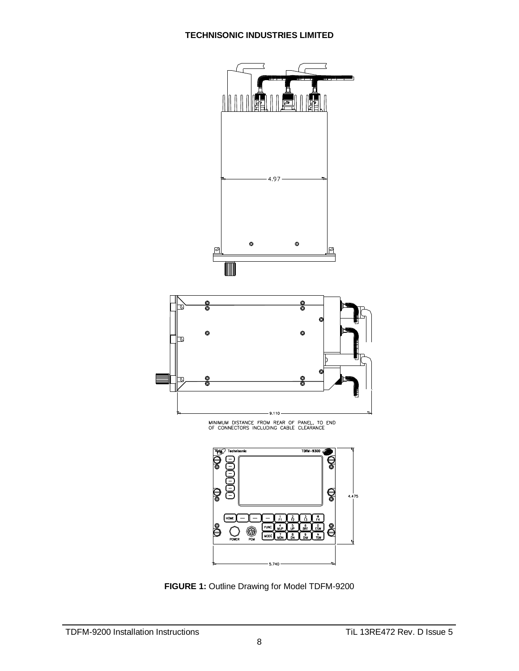

**FIGURE 1:** Outline Drawing for Model TDFM-9200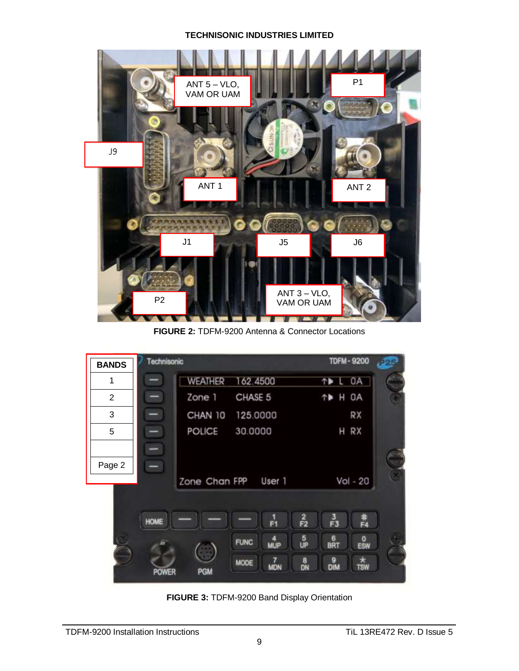

**FIGURE 2:** TDFM-9200 Antenna & Connector Locations

| <b>BANDS</b>   | Technisonic                                                  | <b>TDFM-9200</b>                                   |
|----------------|--------------------------------------------------------------|----------------------------------------------------|
| 1              | <b>WEATHER</b><br>162.4500                                   | 0A<br>作<br>υ                                       |
| $\overline{2}$ | CHASE 5<br>Zone 1                                            | H OA<br>↑▶                                         |
| 3              | CHAN 10<br>125.0000                                          | RX                                                 |
| 5              | <b>POLICE</b><br>30.0000                                     | H RX                                               |
| Page 2         | User 1<br>Zone Chan FPP                                      | $Vol - 20$                                         |
|                | $\frac{1}{51}$<br>HOME                                       | $\frac{2}{F2}$<br>$\frac{3}{F3}$<br>$\frac{4}{54}$ |
|                | MUP<br><b>FUNC</b>                                           | 6<br>g<br>GP<br>$\bf{0}$<br>BRT<br><b>ESW</b>      |
|                | $\frac{7}{MDN}$<br><b>MODE</b><br><b>POWER</b><br><b>PGM</b> | $\frac{1}{15}$<br>9<br>os<br>DN<br><b>DIM</b>      |

**FIGURE 3:** TDFM-9200 Band Display Orientation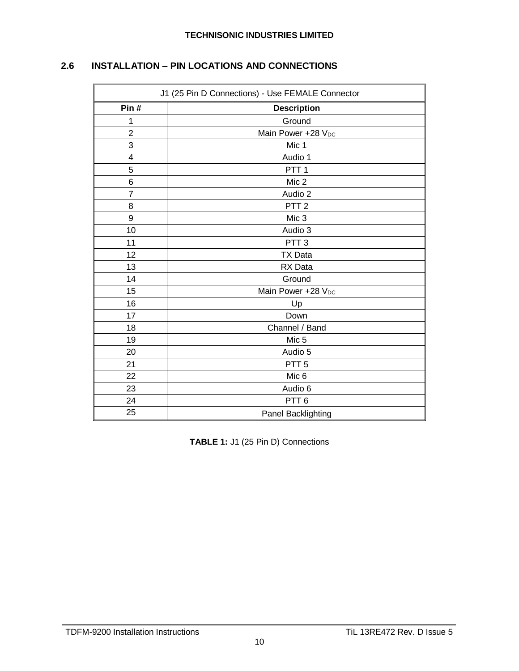## **2.6 INSTALLATION – PIN LOCATIONS AND CONNECTIONS**

| J1 (25 Pin D Connections) - Use FEMALE Connector |                                |  |
|--------------------------------------------------|--------------------------------|--|
| Pin#                                             | <b>Description</b>             |  |
| 1                                                | Ground                         |  |
| $\overline{2}$                                   | Main Power +28 V <sub>DC</sub> |  |
| 3                                                | Mic 1                          |  |
| $\overline{\mathbf{4}}$                          | Audio 1                        |  |
| 5                                                | PTT <sub>1</sub>               |  |
| 6                                                | Mic 2                          |  |
| $\overline{7}$                                   | Audio 2                        |  |
| 8                                                | PTT <sub>2</sub>               |  |
| 9                                                | Mic <sub>3</sub>               |  |
| 10                                               | Audio 3                        |  |
| 11                                               | PTT <sub>3</sub>               |  |
| 12                                               | <b>TX Data</b>                 |  |
| 13                                               | RX Data                        |  |
| 14                                               | Ground                         |  |
| 15                                               | Main Power +28 V <sub>DC</sub> |  |
| 16                                               | Up                             |  |
| 17                                               | Down                           |  |
| 18                                               | Channel / Band                 |  |
| 19                                               | Mic <sub>5</sub>               |  |
| 20                                               | Audio 5                        |  |
| 21                                               | PTT <sub>5</sub>               |  |
| 22                                               | Mic <sub>6</sub>               |  |
| 23                                               | Audio 6                        |  |
| 24                                               | PTT <sub>6</sub>               |  |
| 25                                               | Panel Backlighting             |  |

**TABLE 1:** J1 (25 Pin D) Connections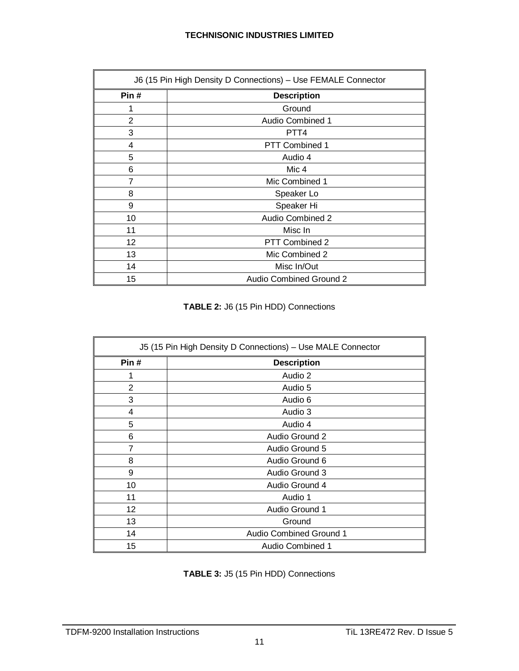| J6 (15 Pin High Density D Connections) - Use FEMALE Connector |                                |  |
|---------------------------------------------------------------|--------------------------------|--|
| Pin#                                                          | <b>Description</b>             |  |
| 1                                                             | Ground                         |  |
| 2                                                             | <b>Audio Combined 1</b>        |  |
| 3                                                             | PTT4                           |  |
| 4                                                             | PTT Combined 1                 |  |
| 5                                                             | Audio 4                        |  |
| 6                                                             | Mic <sub>4</sub>               |  |
| $\overline{7}$                                                | Mic Combined 1                 |  |
| 8                                                             | Speaker Lo                     |  |
| 9                                                             | Speaker Hi                     |  |
| 10                                                            | <b>Audio Combined 2</b>        |  |
| 11                                                            | Misc In                        |  |
| 12                                                            | PTT Combined 2                 |  |
| 13                                                            | Mic Combined 2                 |  |
| 14                                                            | Misc In/Out                    |  |
| 15                                                            | <b>Audio Combined Ground 2</b> |  |

**TABLE 2:** J6 (15 Pin HDD) Connections

| J5 (15 Pin High Density D Connections) - Use MALE Connector |                         |  |
|-------------------------------------------------------------|-------------------------|--|
| Pin#                                                        | <b>Description</b>      |  |
| 1                                                           | Audio 2                 |  |
| 2                                                           | Audio 5                 |  |
| 3                                                           | Audio 6                 |  |
| 4                                                           | Audio 3                 |  |
| 5                                                           | Audio 4                 |  |
| 6                                                           | Audio Ground 2          |  |
| $\overline{7}$                                              | Audio Ground 5          |  |
| 8                                                           | Audio Ground 6          |  |
| 9                                                           | Audio Ground 3          |  |
| 10                                                          | Audio Ground 4          |  |
| 11                                                          | Audio 1                 |  |
| 12                                                          | <b>Audio Ground 1</b>   |  |
| 13                                                          | Ground                  |  |
| 14                                                          | Audio Combined Ground 1 |  |
| 15                                                          | <b>Audio Combined 1</b> |  |

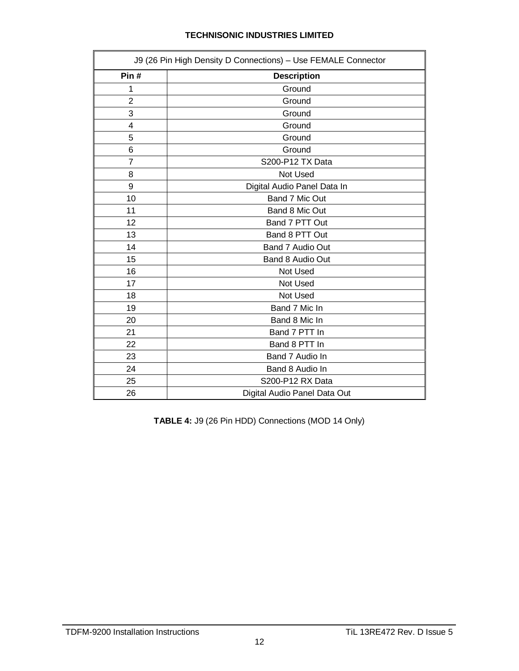| J9 (26 Pin High Density D Connections) - Use FEMALE Connector |                              |  |
|---------------------------------------------------------------|------------------------------|--|
| Pin#                                                          | <b>Description</b>           |  |
| 1                                                             | Ground                       |  |
| $\overline{2}$                                                | Ground                       |  |
| 3                                                             | Ground                       |  |
| 4                                                             | Ground                       |  |
| 5                                                             | Ground                       |  |
| 6                                                             | Ground                       |  |
| $\overline{7}$                                                | S200-P12 TX Data             |  |
| 8                                                             | Not Used                     |  |
| 9                                                             | Digital Audio Panel Data In  |  |
| 10                                                            | Band 7 Mic Out               |  |
| 11                                                            | Band 8 Mic Out               |  |
| 12                                                            | Band 7 PTT Out               |  |
| 13                                                            | Band 8 PTT Out               |  |
| 14                                                            | Band 7 Audio Out             |  |
| 15                                                            | Band 8 Audio Out             |  |
| 16                                                            | Not Used                     |  |
| 17                                                            | Not Used                     |  |
| 18                                                            | Not Used                     |  |
| 19                                                            | Band 7 Mic In                |  |
| 20                                                            | Band 8 Mic In                |  |
| 21                                                            | Band 7 PTT In                |  |
| 22                                                            | Band 8 PTT In                |  |
| 23                                                            | Band 7 Audio In              |  |
| 24                                                            | Band 8 Audio In              |  |
| 25                                                            | S200-P12 RX Data             |  |
| 26                                                            | Digital Audio Panel Data Out |  |

**TABLE 4:** J9 (26 Pin HDD) Connections (MOD 14 Only)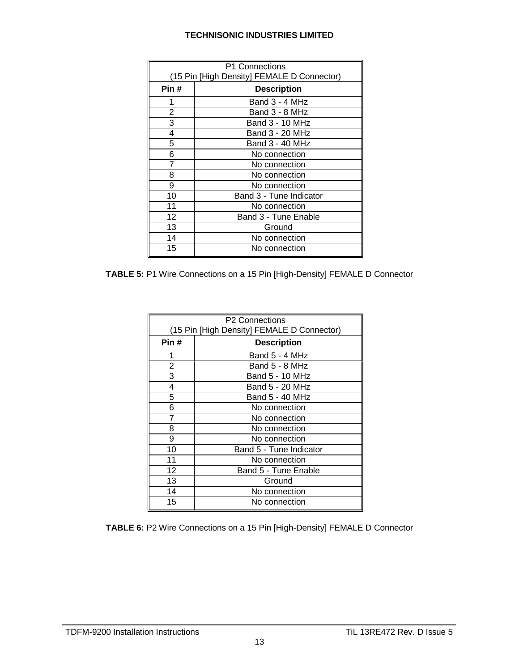| P1 Connections |                                            |  |
|----------------|--------------------------------------------|--|
|                | (15 Pin [High Density] FEMALE D Connector) |  |
| Pin#           | <b>Description</b>                         |  |
| 1              | Band 3 - 4 MHz                             |  |
| $\overline{2}$ | Band 3 - 8 MHz                             |  |
| 3              | Band 3 - 10 MHz                            |  |
| 4              | Band 3 - 20 MHz                            |  |
| 5              | Band 3 - 40 MHz                            |  |
| 6              | No connection                              |  |
| 7              | No connection                              |  |
| 8              | No connection                              |  |
| 9              | No connection                              |  |
| 10             | Band 3 - Tune Indicator                    |  |
| 11             | No connection                              |  |
| 12             | Band 3 - Tune Enable                       |  |
| 13             | Ground                                     |  |
| 14             | No connection                              |  |
| 15             | No connection                              |  |

**TABLE 5:** P1 Wire Connections on a 15 Pin [High-Density] FEMALE D Connector

| <b>P2 Connections</b> |                                            |  |  |
|-----------------------|--------------------------------------------|--|--|
|                       | (15 Pin [High Density] FEMALE D Connector) |  |  |
| Pin#                  | <b>Description</b>                         |  |  |
|                       | Band 5 - 4 MHz                             |  |  |
| $\overline{2}$        | Band 5 - 8 MHz                             |  |  |
| 3                     | Band 5 - 10 MHz                            |  |  |
| 4                     | Band 5 - 20 MHz                            |  |  |
| 5                     | Band 5 - 40 MHz                            |  |  |
| 6                     | No connection                              |  |  |
| 7                     | No connection                              |  |  |
| 8                     | No connection                              |  |  |
| 9                     | No connection                              |  |  |
| 10                    | Band 5 - Tune Indicator                    |  |  |
| 11                    | No connection                              |  |  |
| 12                    | Band 5 - Tune Enable                       |  |  |
| 13                    | Ground                                     |  |  |
| 14                    | No connection                              |  |  |
| 15                    | No connection                              |  |  |

**TABLE 6:** P2 Wire Connections on a 15 Pin [High-Density] FEMALE D Connector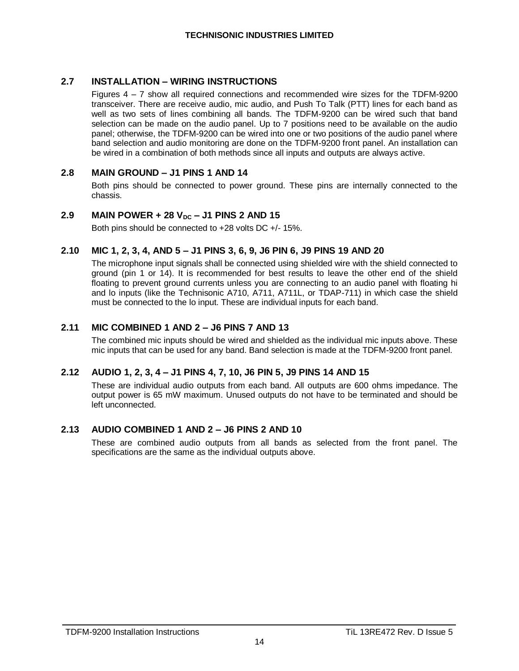#### **2.7 INSTALLATION – WIRING INSTRUCTIONS**

Figures 4 – 7 show all required connections and recommended wire sizes for the TDFM-9200 transceiver. There are receive audio, mic audio, and Push To Talk (PTT) lines for each band as well as two sets of lines combining all bands. The TDFM-9200 can be wired such that band selection can be made on the audio panel. Up to 7 positions need to be available on the audio panel; otherwise, the TDFM-9200 can be wired into one or two positions of the audio panel where band selection and audio monitoring are done on the TDFM-9200 front panel. An installation can be wired in a combination of both methods since all inputs and outputs are always active.

#### **2.8 MAIN GROUND – J1 PINS 1 AND 14**

Both pins should be connected to power ground. These pins are internally connected to the chassis.

#### **2.9 MAIN POWER + 28**  $V_{DC}$  **– J1 PINS 2 AND 15**

Both pins should be connected to +28 volts DC +/- 15%.

#### **2.10 MIC 1, 2, 3, 4, AND 5 – J1 PINS 3, 6, 9, J6 PIN 6, J9 PINS 19 AND 20**

The microphone input signals shall be connected using shielded wire with the shield connected to ground (pin 1 or 14). It is recommended for best results to leave the other end of the shield floating to prevent ground currents unless you are connecting to an audio panel with floating hi and lo inputs (like the Technisonic A710, A711, A711L, or TDAP-711) in which case the shield must be connected to the lo input. These are individual inputs for each band.

#### **2.11 MIC COMBINED 1 AND 2 – J6 PINS 7 AND 13**

The combined mic inputs should be wired and shielded as the individual mic inputs above. These mic inputs that can be used for any band. Band selection is made at the TDFM-9200 front panel.

#### **2.12 AUDIO 1, 2, 3, 4 – J1 PINS 4, 7, 10, J6 PIN 5, J9 PINS 14 AND 15**

These are individual audio outputs from each band. All outputs are 600 ohms impedance. The output power is 65 mW maximum. Unused outputs do not have to be terminated and should be left unconnected.

#### **2.13 AUDIO COMBINED 1 AND 2 – J6 PINS 2 AND 10**

These are combined audio outputs from all bands as selected from the front panel. The specifications are the same as the individual outputs above.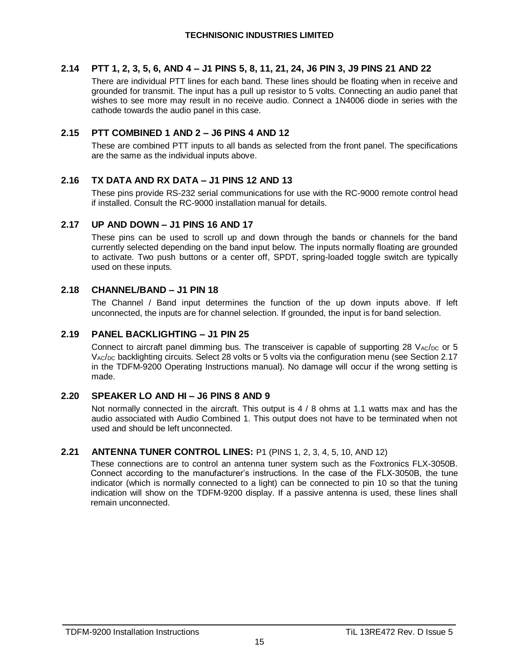#### **2.14 PTT 1, 2, 3, 5, 6, AND 4 – J1 PINS 5, 8, 11, 21, 24, J6 PIN 3, J9 PINS 21 AND 22**

There are individual PTT lines for each band. These lines should be floating when in receive and grounded for transmit. The input has a pull up resistor to 5 volts. Connecting an audio panel that wishes to see more may result in no receive audio. Connect a 1N4006 diode in series with the cathode towards the audio panel in this case.

#### **2.15 PTT COMBINED 1 AND 2 – J6 PINS 4 AND 12**

These are combined PTT inputs to all bands as selected from the front panel. The specifications are the same as the individual inputs above.

#### **2.16 TX DATA AND RX DATA – J1 PINS 12 AND 13**

These pins provide RS-232 serial communications for use with the RC-9000 remote control head if installed. Consult the RC-9000 installation manual for details.

#### **2.17 UP AND DOWN – J1 PINS 16 AND 17**

These pins can be used to scroll up and down through the bands or channels for the band currently selected depending on the band input below. The inputs normally floating are grounded to activate. Two push buttons or a center off, SPDT, spring-loaded toggle switch are typically used on these inputs.

#### **2.18 CHANNEL/BAND – J1 PIN 18**

The Channel / Band input determines the function of the up down inputs above. If left unconnected, the inputs are for channel selection. If grounded, the input is for band selection.

#### **2.19 PANEL BACKLIGHTING – J1 PIN 25**

Connect to aircraft panel dimming bus. The transceiver is capable of supporting  $28$  V<sub>AC</sub>/<sub>DC</sub> or 5 V<sub>AC</sub>/<sub>DC</sub> backlighting circuits. Select 28 volts or 5 volts via the configuration menu (see Section 2.17 in the TDFM-9200 Operating Instructions manual). No damage will occur if the wrong setting is made.

#### **2.20 SPEAKER LO AND HI – J6 PINS 8 AND 9**

Not normally connected in the aircraft. This output is 4 / 8 ohms at 1.1 watts max and has the audio associated with Audio Combined 1. This output does not have to be terminated when not used and should be left unconnected.

#### **2.21 ANTENNA TUNER CONTROL LINES:** P1 (PINS 1, 2, 3, 4, 5, 10, AND 12)

These connections are to control an antenna tuner system such as the Foxtronics FLX-3050B. Connect according to the manufacturer's instructions. In the case of the FLX-3050B, the tune indicator (which is normally connected to a light) can be connected to pin 10 so that the tuning indication will show on the TDFM-9200 display. If a passive antenna is used, these lines shall remain unconnected.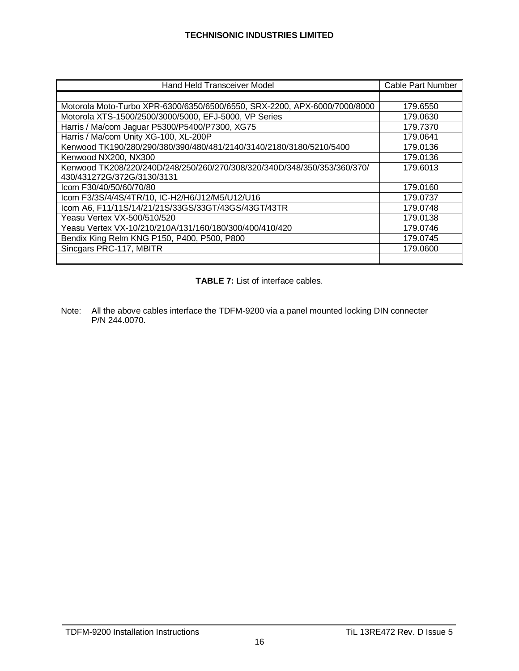| Hand Held Transceiver Model                                               | Cable Part Number |
|---------------------------------------------------------------------------|-------------------|
|                                                                           |                   |
| Motorola Moto-Turbo XPR-6300/6350/6500/6550, SRX-2200, APX-6000/7000/8000 | 179.6550          |
| Motorola XTS-1500/2500/3000/5000, EFJ-5000, VP Series                     | 179.0630          |
| Harris / Ma/com Jaguar P5300/P5400/P7300, XG75                            | 179.7370          |
| Harris / Ma/com Unity XG-100, XL-200P                                     | 179.0641          |
| Kenwood TK190/280/290/380/390/480/481/2140/3140/2180/3180/5210/5400       | 179.0136          |
| Kenwood NX200, NX300                                                      | 179.0136          |
| Kenwood TK208/220/240D/248/250/260/270/308/320/340D/348/350/353/360/370/  | 179.6013          |
| 430/431272G/372G/3130/3131                                                |                   |
| Icom F30/40/50/60/70/80                                                   | 179.0160          |
| Icom F3/3S/4/4S/4TR/10, IC-H2/H6/J12/M5/U12/U16                           | 179.0737          |
| Icom A6, F11/11S/14/21/21S/33GS/33GT/43GS/43GT/43TR                       | 179.0748          |
| Yeasu Vertex VX-500/510/520                                               | 179.0138          |
| Yeasu Vertex VX-10/210/210A/131/160/180/300/400/410/420                   | 179.0746          |
| Bendix King Relm KNG P150, P400, P500, P800                               | 179.0745          |
| Sincgars PRC-117, MBITR                                                   | 179.0600          |
|                                                                           |                   |

**TABLE 7:** List of interface cables.

Note: All the above cables interface the TDFM-9200 via a panel mounted locking DIN connecter P/N 244.0070.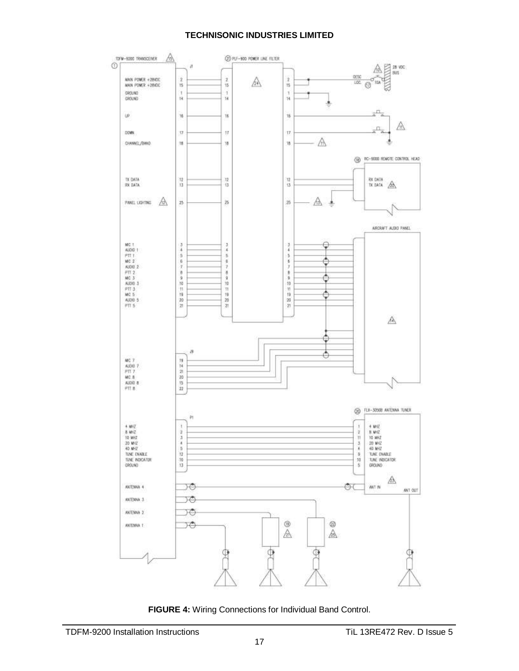

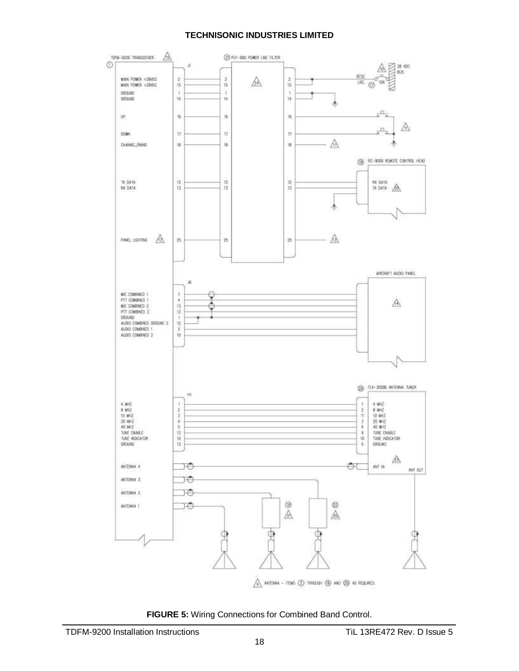

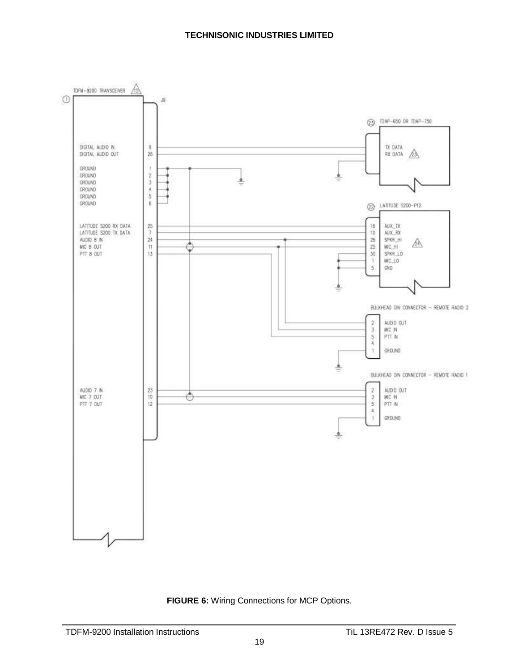

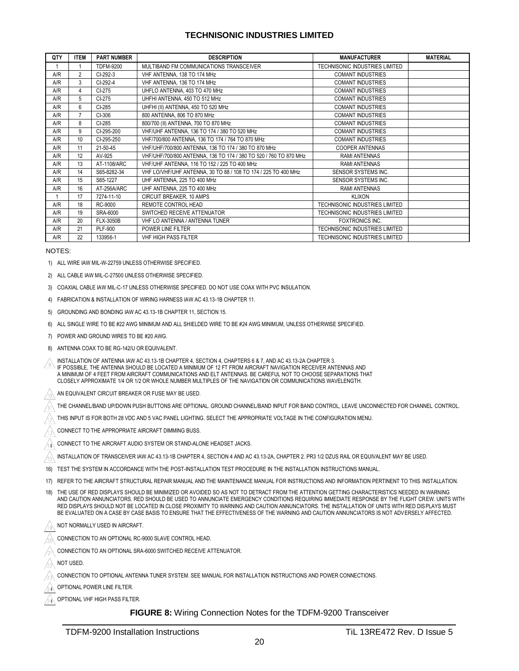| QTY | <b>ITEM</b>    | <b>PART NUMBER</b> | <b>DESCRIPTION</b>                                                | <b>MANUFACTURER</b>            | <b>MATERIAL</b> |
|-----|----------------|--------------------|-------------------------------------------------------------------|--------------------------------|-----------------|
|     |                | <b>TDFM-9200</b>   | MULTIBAND FM COMMUNICATIONS TRANSCEIVER                           | TECHNISONIC INDUSTRIES LIMITED |                 |
| A/R | 2              | CI-292-3           | VHF ANTENNA, 138 TO 174 MHz                                       | <b>COMANT INDUSTRIES</b>       |                 |
| A/R | 3              | CI-292-4           | VHF ANTENNA, 136 TO 174 MHz                                       | <b>COMANT INDUSTRIES</b>       |                 |
| A/R | 4              | CI-275             | UHFLO ANTENNA, 403 TO 470 MHz                                     | <b>COMANT INDUSTRIES</b>       |                 |
| A/R | 5              | CI-275             | UHFHI ANTENNA, 450 TO 512 MHz                                     | <b>COMANT INDUSTRIES</b>       |                 |
| A/R | 6              | CI-285             | UHFHI (II) ANTENNA, 450 TO 520 MHz                                | <b>COMANT INDUSTRIES</b>       |                 |
| A/R | $\overline{7}$ | CI-306             | 800 ANTENNA, 806 TO 870 MHz                                       | <b>COMANT INDUSTRIES</b>       |                 |
| A/R | 8              | CI-285             | 800/700 (II) ANTENNA, 700 TO 870 MHz                              | <b>COMANT INDUSTRIES</b>       |                 |
| A/R | 9              | CI-295-200         | VHF/UHF ANTENNA, 136 TO 174 / 380 TO 520 MHz                      | <b>COMANT INDUSTRIES</b>       |                 |
| A/R | 10             | CI-295-250         | VHF/700/800 ANTENNA, 136 TO 174 / 764 TO 870 MHz                  | <b>COMANT INDUSTRIES</b>       |                 |
| A/R | 11             | 21-50-45           | VHF/UHF/700/800 ANTENNA, 136 TO 174 / 380 TO 870 MHz              | <b>COOPER ANTENNAS</b>         |                 |
| A/R | 12             | AV-925             | VHF/UHF/700/800 ANTENNA, 136 TO 174 / 380 TO 520 / 760 TO 870 MHz | RAMI ANTENNAS                  |                 |
| A/R | 13             | AT-1108/ARC        | VHF/UHF ANTENNA, 116 TO 152 / 225 TO 400 MHz                      | RAMI ANTENNAS                  |                 |
| A/R | 14             | S65-8282-34        | VHF LO/VHF/UHF ANTENNA, 30 TO 88 / 108 TO 174 / 225 TO 400 MHz    | SENSOR SYSTEMS INC.            |                 |
| A/R | 15             | S65-1227           | UHF ANTENNA, 225 TO 400 MHz                                       | SENSOR SYSTEMS INC.            |                 |
| A/R | 16             | AT-256A/ARC        | UHF ANTENNA, 225 TO 400 MHz                                       | <b>RAMI ANTENNAS</b>           |                 |
|     | 17             | 7274-11-10         | CIRCUIT BREAKER, 10 AMPS                                          | <b>KLIXON</b>                  |                 |
| A/R | 18             | RC-9000            | REMOTE CONTROL HEAD                                               | TECHNISONIC INDUSTRIES LIMITED |                 |
| A/R | 19             | SRA-6000           | SWITCHED RECEIVE ATTENUATOR                                       | TECHNISONIC INDUSTRIES LIMITED |                 |
| A/R | 20             | FLX-3050B          | VHF LO ANTENNA / ANTENNA TUNER                                    | <b>FOXTRONICS INC.</b>         |                 |
| A/R | 21             | PLF-900            | POWER LINE FILTER                                                 | TECHNISONIC INDUSTRIES LIMITED |                 |
| A/R | 22             | 133956-1           | <b>VHF HIGH PASS FILTER</b>                                       | TECHNISONIC INDUSTRIES LIMITED |                 |

NOTES:

- 1) ALL WIRE IAW MIL-W-22759 UNLESS OTHERWISE SPECIFIED.
- 2) ALL CABLE IAW MIL-C-27500 UNLESS OTHERWISE SPECIFIED.
- 3) COAXIAL CABLE IAW MIL-C-17 UNLESS OTHERWISE SPECIFIED. DO NOT USE COAX WITH PVC INSULATION.
- 4) FABRICATION & INSTALLATION OF WIRING HARNESS IAW AC 43.13-1B CHAPTER 11.
- 5) GROUNDING AND BONDING IAW AC 43.13-1B CHAPTER 11, SECTION 15.
- 6) ALL SINGLE WIRE TO BE #22 AWG MINIMUM AND ALL SHIELDED WIRE TO BE #24 AWG MINIMUM, UNLESS OTHERWISE SPECIFIED.
- 7) POWER AND GROUND WIRES TO BE #20 AWG.
- 8) ANTENNA COAX TO BE RG-142/U OR EQUIVALENT.
- INSTALLATION OF ANTENNA IAW AC 43.13-1B CHAPTER 4, SECTION 4, CHAPTERS 6 & 7, AND AC 43.13-2A CHAPTER 3. INSTALLATION OF ANTENNA SHOULD BE LOCATED A MINIMUM OF 12 FT FROM AIRCRAFT NAVIGATION RECEIVER ANTENNAS AND TH<br>IF POSSIBLE, THE ANTENNA SHOULD BE LOCATED A MINIMUM OF 12 FT FROM AIRCRAFT NAVIGATION RECEIVER PER RATIONS TH A MINIMUM OF 4 FEET FROM AIRCRAFT COMMUNICATIONS AND ELT ANTENNAS. BE CAREFUL NOT TO CHOOSE SEPARATIONS THAT CLOSELY APPROXIMATE 1/4 OR 1/2 OR WHOLE NUMBER MULTIPLES OF THE NAVIGATION OR COMMUNICATIONS WAVELENGTH.

 $\sqrt{10}$  AN EQUIVALENT CIRCUIT BREAKER OR FUSE MAY BE USED.

THE CHANNEL/BAND UP/DOWN PUSH BUTTONS ARE OPTIONAL. GROUND CHANNEL/BAND INPUT FOR BAND CONTROL, LEAVE UNCONNECTED FOR CHANNEL CONTROL.

THIS INPUT IS FOR BOTH 28 VDC AND 5 VAC PANEL LIGHTING. SELECT THE APPROPRIATE VOLTAGE IN THE CONFIGURATION MENU.

CONNECT TO THE APPROPRIATE AIRCRAFT DIMMING BUSS. ЛÀ

CONNECT TO THE AIRCRAFT AUDIO SYSTEM OR STAND-ALONE HEADSET JACKS. ЛÀ

INSTALLATION OF TRANSCEIVER IAW AC 43.13-1B CHAPTER 4, SECTION 4 AND AC 43.13-2A, CHAPTER 2. PR3 1/2 DZUS RAIL OR EQUIVALENT MAY BE USED.  $\sqrt{15}$ 

16) TEST THE SYSTEM IN ACCORDANCE WITH THE POST-INSTALLATION TEST PROCEDURE IN THE INSTALLATION INSTRUCTIONS MANUAL.

- 17) REFER TO THE AIRCRAFT STRUCTURAL REPAIR MANUAL AND THE MAINTENANCE MANUAL FOR INSTRUCTIONS AND INFORMATION PERTINENT TO THIS INSTALLATION.
- 18) THE USE OF RED DISPLAYS SHOULD BE MINIMIZED OR AVOIDED SO AS NOT TO DETRACT FROM THE ATTENTION GETTING CHARACTERISTICS NEEDED IN WARNING AND CAUTION ANNUNCIATORS. RED SHOULD BE USED TO ANNUNCIATE EMERGENCY CONDITIONS REQUIRING IMMEDIATE RESPONSE BY THE FLIGHT CREW. UNITS WITH RED DISPLAYS SHOULD NOT BE LOCATED IN CLOSE PROXIMITY TO WARNING AND CAUTION ANNUNCIATORS. THE INSTALLATION OF UNITS WITH RED DISPLAYS MUST BE EVALUATED ON A CASE BY CASE BASIS TO ENSURE THAT THE EFFECTIVENESS OF THE WARNING AND CAUTION ANNUNCIATORS IS NOT ADVERSELY AFFECTED.

| $\gamma$ NOT NORMALLY USED IN AIRCRAFT. |
|-----------------------------------------|
|-----------------------------------------|

CONNECTION TO AN OPTIONAL RC-9000 SLAVE CONTROL HEAD.

CONNECTION TO AN OPTIONAL SRA-6000 SWITCHED RECEIVE ATTENUATOR.

NOT USED.

 $\sqrt{\lambda}$  CONNECTION TO OPTIONAL ANTENNA TUNER SYSTEM. SEE MANUAL FOR INSTALLATION INSTRUCTIONS AND POWER CONNECTIONS.

 $\sqrt{24}$  OPTIONAL POWER LINE FILTER.

 $\sqrt{24}$  OPTIONAL VHF HIGH PASS FILTER.

#### **FIGURE 8:** Wiring Connection Notes for the TDFM-9200 Transceiver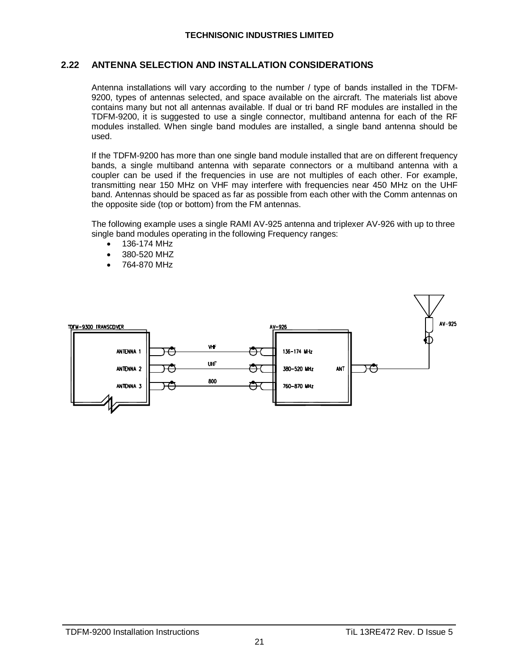#### **2.22 ANTENNA SELECTION AND INSTALLATION CONSIDERATIONS**

Antenna installations will vary according to the number / type of bands installed in the TDFM-9200, types of antennas selected, and space available on the aircraft. The materials list above contains many but not all antennas available. If dual or tri band RF modules are installed in the TDFM-9200, it is suggested to use a single connector, multiband antenna for each of the RF modules installed. When single band modules are installed, a single band antenna should be used.

If the TDFM-9200 has more than one single band module installed that are on different frequency bands, a single multiband antenna with separate connectors or a multiband antenna with a coupler can be used if the frequencies in use are not multiples of each other. For example, transmitting near 150 MHz on VHF may interfere with frequencies near 450 MHz on the UHF band. Antennas should be spaced as far as possible from each other with the Comm antennas on the opposite side (top or bottom) from the FM antennas.

The following example uses a single RAMI AV-925 antenna and triplexer AV-926 with up to three single band modules operating in the following Frequency ranges:

- 136-174 MHz
- 380-520 MHZ
- 764-870 MHz

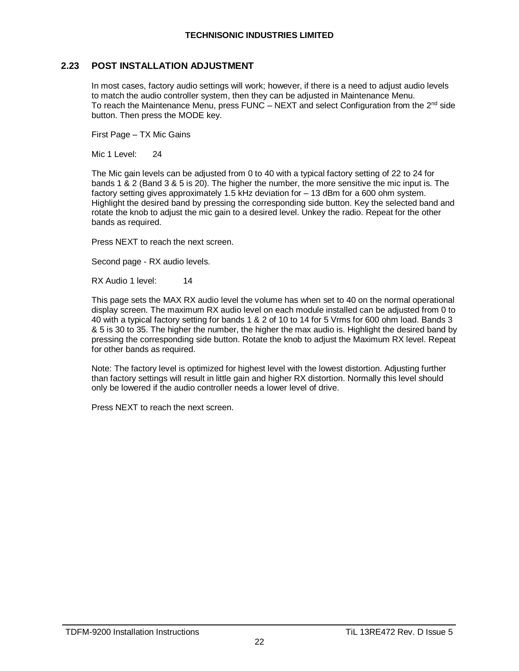#### **2.23 POST INSTALLATION ADJUSTMENT**

In most cases, factory audio settings will work; however, if there is a need to adjust audio levels to match the audio controller system, then they can be adjusted in Maintenance Menu. To reach the Maintenance Menu, press  $FUNC - NEXT$  and select Configuration from the  $2<sup>nd</sup>$  side button. Then press the MODE key.

First Page – TX Mic Gains

Mic 1 Level: 24

The Mic gain levels can be adjusted from 0 to 40 with a typical factory setting of 22 to 24 for bands 1 & 2 (Band 3 & 5 is 20). The higher the number, the more sensitive the mic input is. The factory setting gives approximately 1.5 kHz deviation for – 13 dBm for a 600 ohm system. Highlight the desired band by pressing the corresponding side button. Key the selected band and rotate the knob to adjust the mic gain to a desired level. Unkey the radio. Repeat for the other bands as required.

Press NEXT to reach the next screen.

Second page - RX audio levels.

RX Audio 1 level: 14

This page sets the MAX RX audio level the volume has when set to 40 on the normal operational display screen. The maximum RX audio level on each module installed can be adjusted from 0 to 40 with a typical factory setting for bands 1 & 2 of 10 to 14 for 5 Vrms for 600 ohm load. Bands 3 & 5 is 30 to 35. The higher the number, the higher the max audio is. Highlight the desired band by pressing the corresponding side button. Rotate the knob to adjust the Maximum RX level. Repeat for other bands as required.

Note: The factory level is optimized for highest level with the lowest distortion. Adjusting further than factory settings will result in little gain and higher RX distortion. Normally this level should only be lowered if the audio controller needs a lower level of drive.

Press NEXT to reach the next screen.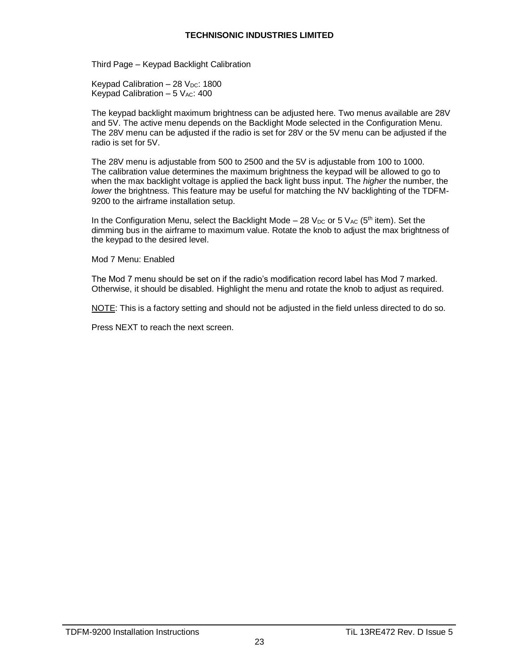Third Page – Keypad Backlight Calibration

Keypad Calibration  $-28$  V<sub>DC</sub>: 1800 Keypad Calibration  $-5$  VAC: 400

The keypad backlight maximum brightness can be adjusted here. Two menus available are 28V and 5V. The active menu depends on the Backlight Mode selected in the Configuration Menu. The 28V menu can be adjusted if the radio is set for 28V or the 5V menu can be adjusted if the radio is set for 5V.

The 28V menu is adjustable from 500 to 2500 and the 5V is adjustable from 100 to 1000. The calibration value determines the maximum brightness the keypad will be allowed to go to when the max backlight voltage is applied the back light buss input. The *higher* the number, the *lower* the brightness. This feature may be useful for matching the NV backlighting of the TDFM-9200 to the airframe installation setup.

In the Configuration Menu, select the Backlight Mode – 28  $V_{DC}$  or 5  $V_{AC}$  (5<sup>th</sup> item). Set the dimming bus in the airframe to maximum value. Rotate the knob to adjust the max brightness of the keypad to the desired level.

Mod 7 Menu: Enabled

The Mod 7 menu should be set on if the radio's modification record label has Mod 7 marked. Otherwise, it should be disabled. Highlight the menu and rotate the knob to adjust as required.

NOTE: This is a factory setting and should not be adjusted in the field unless directed to do so.

Press NEXT to reach the next screen.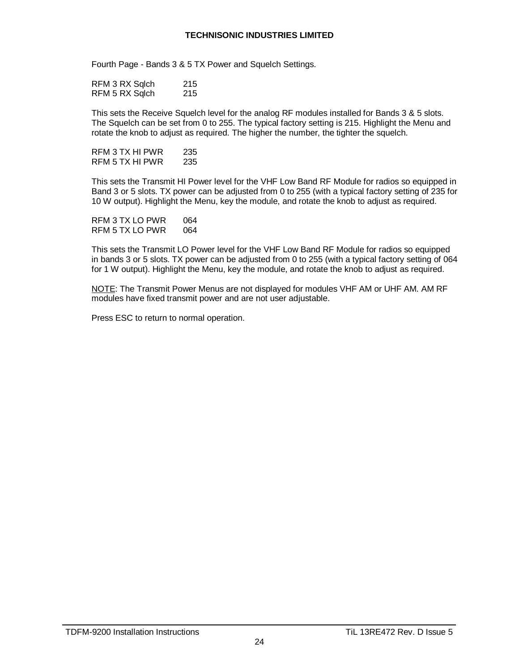Fourth Page - Bands 3 & 5 TX Power and Squelch Settings.

| RFM 3 RX Sqlch | 215 |
|----------------|-----|
| RFM 5 RX Sqlch | 215 |

This sets the Receive Squelch level for the analog RF modules installed for Bands 3 & 5 slots. The Squelch can be set from 0 to 255. The typical factory setting is 215. Highlight the Menu and rotate the knob to adjust as required. The higher the number, the tighter the squelch.

RFM 3 TX HI PWR 235 RFM 5 TX HI PWR 235

This sets the Transmit HI Power level for the VHF Low Band RF Module for radios so equipped in Band 3 or 5 slots. TX power can be adjusted from 0 to 255 (with a typical factory setting of 235 for 10 W output). Highlight the Menu, key the module, and rotate the knob to adjust as required.

RFM 3 TX LO PWR 064 RFM 5 TX LO PWR 064

This sets the Transmit LO Power level for the VHF Low Band RF Module for radios so equipped in bands 3 or 5 slots. TX power can be adjusted from 0 to 255 (with a typical factory setting of 064 for 1 W output). Highlight the Menu, key the module, and rotate the knob to adjust as required.

NOTE: The Transmit Power Menus are not displayed for modules VHF AM or UHF AM. AM RF modules have fixed transmit power and are not user adjustable.

Press ESC to return to normal operation.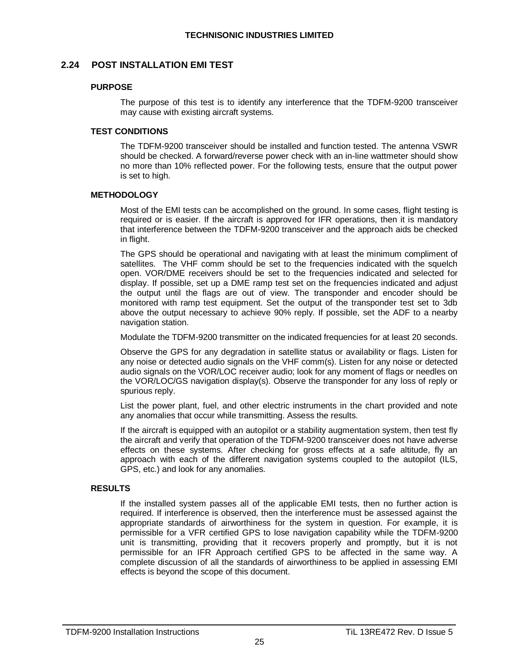#### **2.24 POST INSTALLATION EMI TEST**

#### **PURPOSE**

The purpose of this test is to identify any interference that the TDFM-9200 transceiver may cause with existing aircraft systems.

#### **TEST CONDITIONS**

The TDFM-9200 transceiver should be installed and function tested. The antenna VSWR should be checked. A forward/reverse power check with an in-line wattmeter should show no more than 10% reflected power. For the following tests, ensure that the output power is set to high.

#### **METHODOLOGY**

Most of the EMI tests can be accomplished on the ground. In some cases, flight testing is required or is easier. If the aircraft is approved for IFR operations, then it is mandatory that interference between the TDFM-9200 transceiver and the approach aids be checked in flight.

The GPS should be operational and navigating with at least the minimum compliment of satellites. The VHF comm should be set to the frequencies indicated with the squelch open. VOR/DME receivers should be set to the frequencies indicated and selected for display. If possible, set up a DME ramp test set on the frequencies indicated and adjust the output until the flags are out of view. The transponder and encoder should be monitored with ramp test equipment. Set the output of the transponder test set to 3db above the output necessary to achieve 90% reply. If possible, set the ADF to a nearby navigation station.

Modulate the TDFM-9200 transmitter on the indicated frequencies for at least 20 seconds.

Observe the GPS for any degradation in satellite status or availability or flags. Listen for any noise or detected audio signals on the VHF comm(s). Listen for any noise or detected audio signals on the VOR/LOC receiver audio; look for any moment of flags or needles on the VOR/LOC/GS navigation display(s). Observe the transponder for any loss of reply or spurious reply.

List the power plant, fuel, and other electric instruments in the chart provided and note any anomalies that occur while transmitting. Assess the results.

If the aircraft is equipped with an autopilot or a stability augmentation system, then test fly the aircraft and verify that operation of the TDFM-9200 transceiver does not have adverse effects on these systems. After checking for gross effects at a safe altitude, fly an approach with each of the different navigation systems coupled to the autopilot (ILS, GPS, etc.) and look for any anomalies.

#### **RESULTS**

If the installed system passes all of the applicable EMI tests, then no further action is required. If interference is observed, then the interference must be assessed against the appropriate standards of airworthiness for the system in question. For example, it is permissible for a VFR certified GPS to lose navigation capability while the TDFM-9200 unit is transmitting, providing that it recovers properly and promptly, but it is not permissible for an IFR Approach certified GPS to be affected in the same way. A complete discussion of all the standards of airworthiness to be applied in assessing EMI effects is beyond the scope of this document.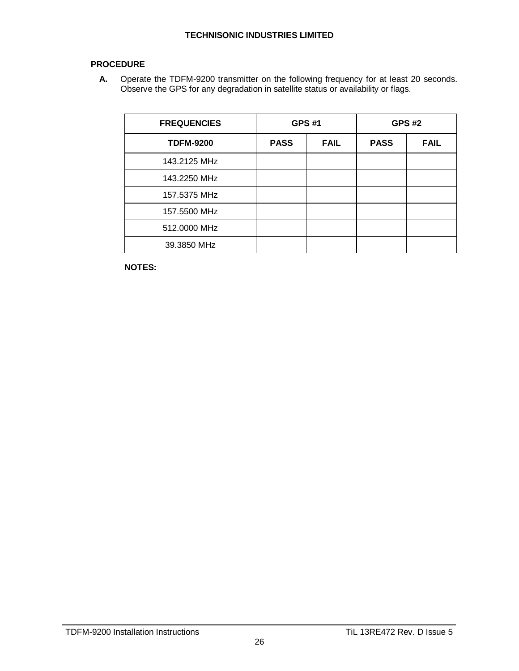#### **PROCEDURE**

**A.** Operate the TDFM-9200 transmitter on the following frequency for at least 20 seconds. Observe the GPS for any degradation in satellite status or availability or flags.

| <b>FREQUENCIES</b> |             | <b>GPS #1</b> | <b>GPS #2</b> |             |
|--------------------|-------------|---------------|---------------|-------------|
| <b>TDFM-9200</b>   | <b>PASS</b> | <b>FAIL</b>   | <b>PASS</b>   | <b>FAIL</b> |
| 143.2125 MHz       |             |               |               |             |
| 143.2250 MHz       |             |               |               |             |
| 157.5375 MHz       |             |               |               |             |
| 157.5500 MHz       |             |               |               |             |
| 512.0000 MHz       |             |               |               |             |
| 39.3850 MHz        |             |               |               |             |

**NOTES:**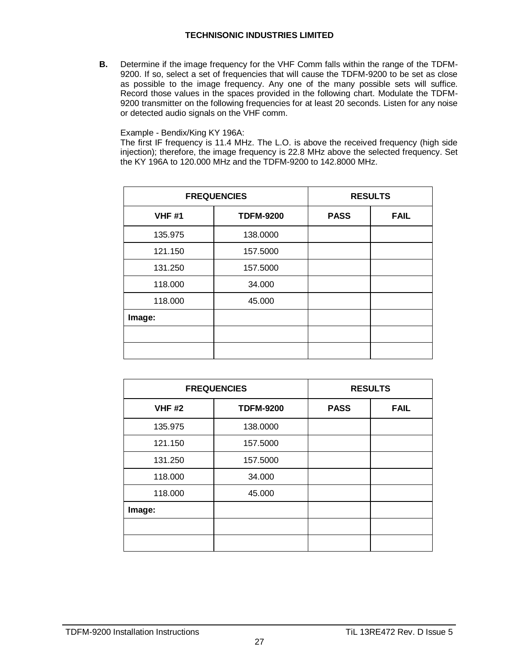**B.** Determine if the image frequency for the VHF Comm falls within the range of the TDFM-9200. If so, select a set of frequencies that will cause the TDFM-9200 to be set as close as possible to the image frequency. Any one of the many possible sets will suffice. Record those values in the spaces provided in the following chart. Modulate the TDFM-9200 transmitter on the following frequencies for at least 20 seconds. Listen for any noise or detected audio signals on the VHF comm.

#### Example - Bendix/King KY 196A:

The first IF frequency is 11.4 MHz. The L.O. is above the received frequency (high side injection); therefore, the image frequency is 22.8 MHz above the selected frequency. Set the KY 196A to 120.000 MHz and the TDFM-9200 to 142.8000 MHz.

|              | <b>FREQUENCIES</b> |             | <b>RESULTS</b> |
|--------------|--------------------|-------------|----------------|
| <b>VHF#1</b> | <b>TDFM-9200</b>   | <b>PASS</b> | <b>FAIL</b>    |
| 135.975      | 138.0000           |             |                |
| 121.150      | 157.5000           |             |                |
| 131.250      | 157.5000           |             |                |
| 118.000      | 34.000             |             |                |
| 118.000      | 45.000             |             |                |
| Image:       |                    |             |                |
|              |                    |             |                |
|              |                    |             |                |

|              | <b>FREQUENCIES</b> |             | <b>RESULTS</b> |
|--------------|--------------------|-------------|----------------|
| <b>VHF#2</b> | <b>TDFM-9200</b>   | <b>PASS</b> | <b>FAIL</b>    |
| 135.975      | 138.0000           |             |                |
| 121.150      | 157.5000           |             |                |
| 131.250      | 157.5000           |             |                |
| 118.000      | 34.000             |             |                |
| 118.000      | 45.000             |             |                |
| Image:       |                    |             |                |
|              |                    |             |                |
|              |                    |             |                |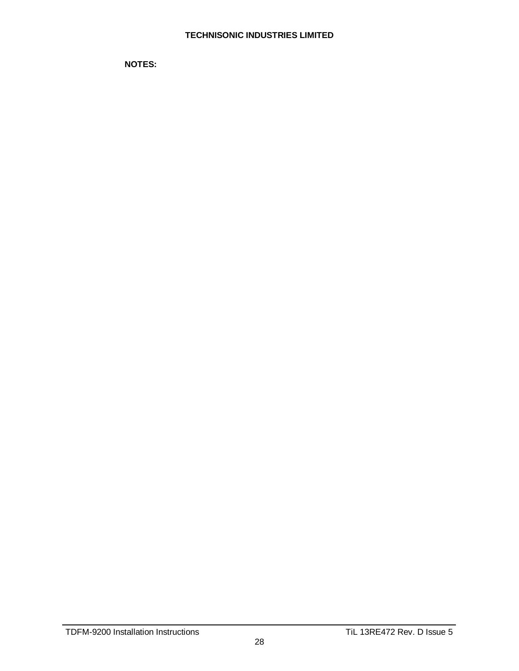**NOTES:**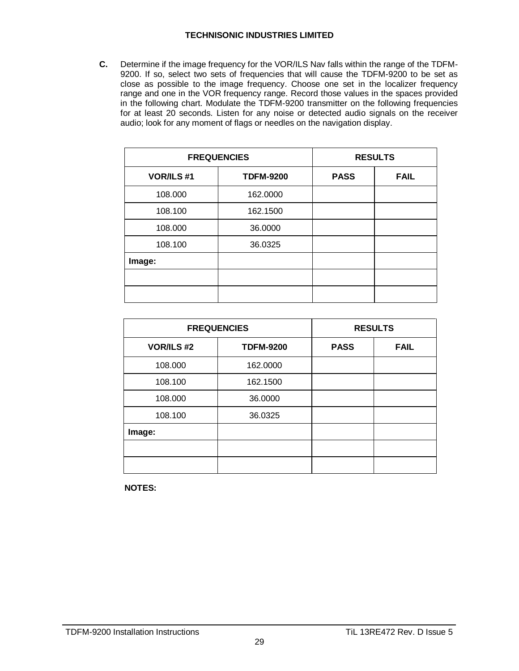**C.** Determine if the image frequency for the VOR/ILS Nav falls within the range of the TDFM-9200. If so, select two sets of frequencies that will cause the TDFM-9200 to be set as close as possible to the image frequency. Choose one set in the localizer frequency range and one in the VOR frequency range. Record those values in the spaces provided in the following chart. Modulate the TDFM-9200 transmitter on the following frequencies for at least 20 seconds. Listen for any noise or detected audio signals on the receiver audio; look for any moment of flags or needles on the navigation display.

| <b>FREQUENCIES</b> |                  | <b>RESULTS</b> |             |
|--------------------|------------------|----------------|-------------|
| <b>VOR/ILS #1</b>  | <b>TDFM-9200</b> | <b>PASS</b>    | <b>FAIL</b> |
| 108.000            | 162.0000         |                |             |
| 108.100            | 162.1500         |                |             |
| 108.000            | 36.0000          |                |             |
| 108.100            | 36.0325          |                |             |
| Image:             |                  |                |             |
|                    |                  |                |             |
|                    |                  |                |             |

| <b>FREQUENCIES</b> | <b>RESULTS</b>   |             |             |
|--------------------|------------------|-------------|-------------|
| <b>VOR/ILS #2</b>  | <b>TDFM-9200</b> | <b>PASS</b> | <b>FAIL</b> |
| 108.000            | 162.0000         |             |             |
| 108.100            | 162.1500         |             |             |
| 108.000            | 36.0000          |             |             |
| 108.100            | 36.0325          |             |             |
| Image:             |                  |             |             |
|                    |                  |             |             |
|                    |                  |             |             |

**NOTES:**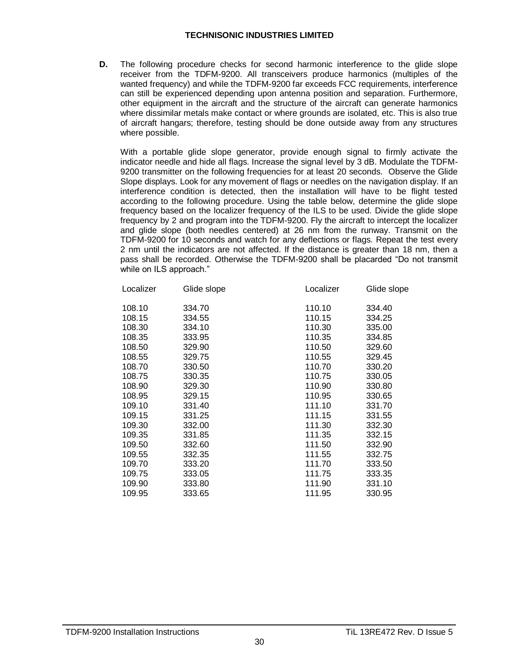**D.** The following procedure checks for second harmonic interference to the glide slope receiver from the TDFM-9200. All transceivers produce harmonics (multiples of the wanted frequency) and while the TDFM-9200 far exceeds FCC requirements, interference can still be experienced depending upon antenna position and separation. Furthermore, other equipment in the aircraft and the structure of the aircraft can generate harmonics where dissimilar metals make contact or where grounds are isolated, etc. This is also true of aircraft hangars; therefore, testing should be done outside away from any structures where possible.

With a portable glide slope generator, provide enough signal to firmly activate the indicator needle and hide all flags. Increase the signal level by 3 dB. Modulate the TDFM-9200 transmitter on the following frequencies for at least 20 seconds. Observe the Glide Slope displays. Look for any movement of flags or needles on the navigation display. If an interference condition is detected, then the installation will have to be flight tested according to the following procedure. Using the table below, determine the glide slope frequency based on the localizer frequency of the ILS to be used. Divide the glide slope frequency by 2 and program into the TDFM-9200. Fly the aircraft to intercept the localizer and glide slope (both needles centered) at 26 nm from the runway. Transmit on the TDFM-9200 for 10 seconds and watch for any deflections or flags. Repeat the test every 2 nm until the indicators are not affected. If the distance is greater than 18 nm, then a pass shall be recorded. Otherwise the TDFM-9200 shall be placarded "Do not transmit while on ILS approach."

| Localizer | Glide slope | Localizer | Glide slope |
|-----------|-------------|-----------|-------------|
| 108.10    | 334.70      | 110.10    | 334.40      |
| 108.15    | 334.55      | 110.15    | 334.25      |
| 108.30    | 334.10      | 110.30    | 335.00      |
| 108.35    | 333.95      | 110.35    | 334.85      |
| 108.50    | 329.90      | 110.50    | 329.60      |
| 108.55    | 329.75      | 110.55    | 329.45      |
| 108.70    | 330.50      | 110.70    | 330.20      |
| 108.75    | 330.35      | 110.75    | 330.05      |
| 108.90    | 329.30      | 110.90    | 330.80      |
| 108.95    | 329.15      | 110.95    | 330.65      |
| 109.10    | 331.40      | 111.10    | 331.70      |
| 109.15    | 331.25      | 111.15    | 331.55      |
| 109.30    | 332.00      | 111.30    | 332.30      |
| 109.35    | 331.85      | 111.35    | 332.15      |
| 109.50    | 332.60      | 111.50    | 332.90      |
| 109.55    | 332.35      | 111.55    | 332.75      |
| 109.70    | 333.20      | 111.70    | 333.50      |
| 109.75    | 333.05      | 111.75    | 333.35      |
| 109.90    | 333.80      | 111.90    | 331.10      |
| 109.95    | 333.65      | 111.95    | 330.95      |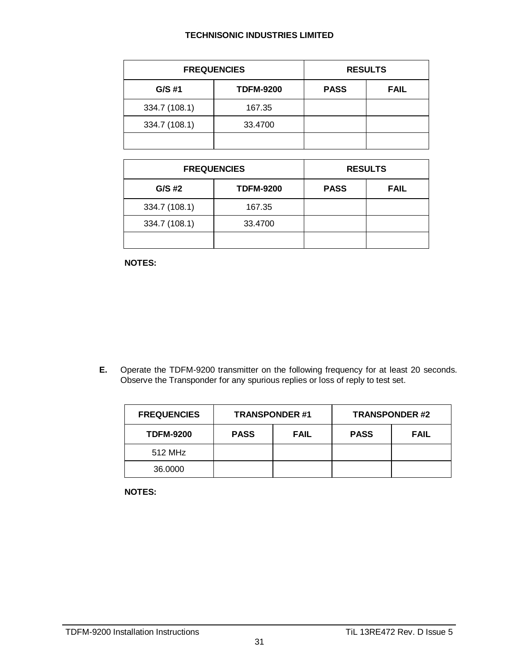|                              | <b>FREQUENCIES</b> | <b>RESULTS</b><br><b>PASS</b><br><b>FAIL</b> |  |  |
|------------------------------|--------------------|----------------------------------------------|--|--|
| $G/S$ #1<br><b>TDFM-9200</b> |                    |                                              |  |  |
| 334.7 (108.1)                | 167.35             |                                              |  |  |
| 334.7 (108.1)                | 33.4700            |                                              |  |  |
|                              |                    |                                              |  |  |

|                           | <b>FREQUENCIES</b> | <b>RESULTS</b><br><b>PASS</b><br><b>FAIL</b> |  |  |
|---------------------------|--------------------|----------------------------------------------|--|--|
| G/S#2<br><b>TDFM-9200</b> |                    |                                              |  |  |
| 334.7 (108.1)<br>167.35   |                    |                                              |  |  |
| 334.7 (108.1)             | 33.4700            |                                              |  |  |
|                           |                    |                                              |  |  |

**NOTES:**

**E.** Operate the TDFM-9200 transmitter on the following frequency for at least 20 seconds. Observe the Transponder for any spurious replies or loss of reply to test set.

| <b>FREQUENCIES</b> | <b>TRANSPONDER#1</b> |             | <b>TRANSPONDER#2</b> |             |  |
|--------------------|----------------------|-------------|----------------------|-------------|--|
| <b>TDFM-9200</b>   | <b>PASS</b>          | <b>FAIL</b> | <b>PASS</b>          | <b>FAIL</b> |  |
| 512 MHz            |                      |             |                      |             |  |
| 36,0000            |                      |             |                      |             |  |

**NOTES:**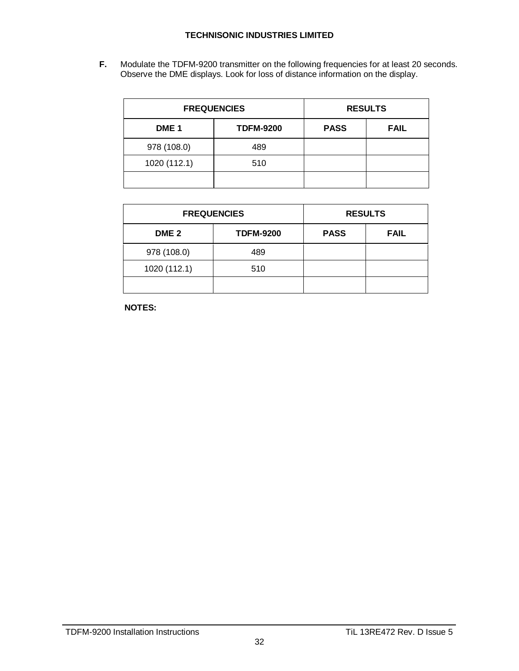**F.** Modulate the TDFM-9200 transmitter on the following frequencies for at least 20 seconds. Observe the DME displays. Look for loss of distance information on the display.

| <b>FREQUENCIES</b> |                  |             | <b>RESULTS</b> |
|--------------------|------------------|-------------|----------------|
| DME <sub>1</sub>   | <b>TDFM-9200</b> | <b>PASS</b> | <b>FAIL</b>    |
| 978 (108.0)        | 489              |             |                |
| 1020 (112.1)       | 510              |             |                |
|                    |                  |             |                |

| <b>FREQUENCIES</b> |                  |             | <b>RESULTS</b> |
|--------------------|------------------|-------------|----------------|
| DME <sub>2</sub>   | <b>TDFM-9200</b> | <b>PASS</b> | <b>FAIL</b>    |
| 978 (108.0)        | 489              |             |                |
| 1020 (112.1)       | 510              |             |                |
|                    |                  |             |                |

**NOTES:**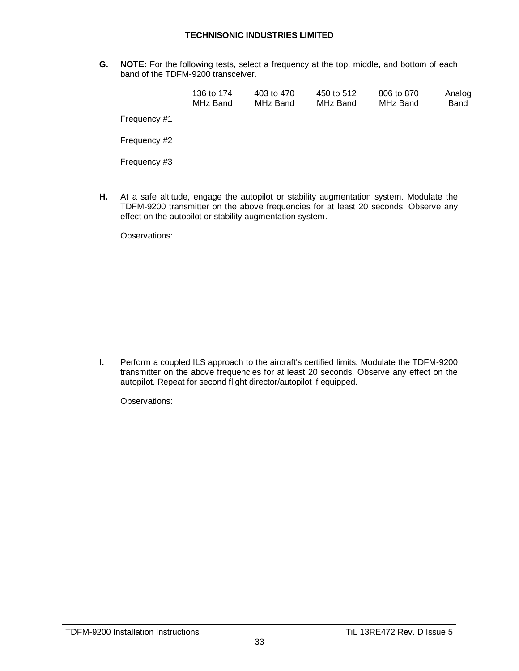**G. NOTE:** For the following tests, select a frequency at the top, middle, and bottom of each band of the TDFM-9200 transceiver.

| 136 to 174 | 403 to 470 | 450 to 512 | 806 to 870 | Analog |
|------------|------------|------------|------------|--------|
| MHz Band   | MHz Band   | MHz Band   | MHz Band   | Band   |

Frequency #1

Frequency #2

Frequency #3

**H.** At a safe altitude, engage the autopilot or stability augmentation system. Modulate the TDFM-9200 transmitter on the above frequencies for at least 20 seconds. Observe any effect on the autopilot or stability augmentation system.

Observations:

**I.** Perform a coupled ILS approach to the aircraft's certified limits. Modulate the TDFM-9200 transmitter on the above frequencies for at least 20 seconds. Observe any effect on the autopilot. Repeat for second flight director/autopilot if equipped.

Observations: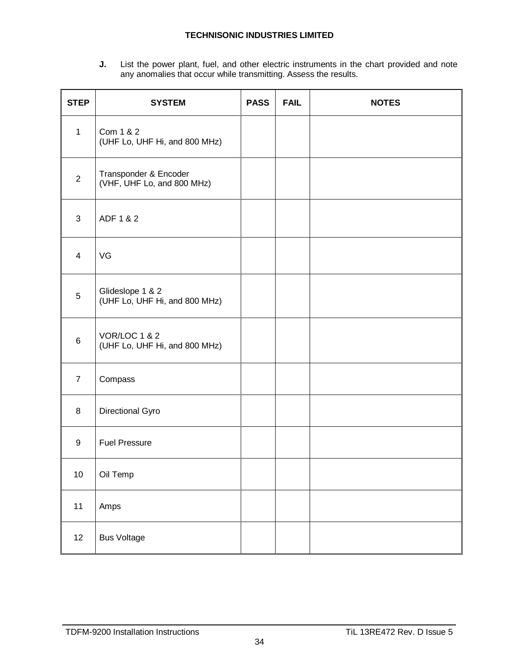**J.** List the power plant, fuel, and other electric instruments in the chart provided and note any anomalies that occur while transmitting. Assess the results.

| <b>STEP</b>      | <b>SYSTEM</b>                                       | <b>PASS</b> | <b>FAIL</b> | <b>NOTES</b> |
|------------------|-----------------------------------------------------|-------------|-------------|--------------|
| $\mathbf 1$      | Com 1 & 2<br>(UHF Lo, UHF Hi, and 800 MHz)          |             |             |              |
| $\overline{2}$   | Transponder & Encoder<br>(VHF, UHF Lo, and 800 MHz) |             |             |              |
| $\mathfrak{S}$   | ADF 1 & 2                                           |             |             |              |
| $\overline{4}$   | VG                                                  |             |             |              |
| 5                | Glideslope 1 & 2<br>(UHF Lo, UHF Hi, and 800 MHz)   |             |             |              |
| $\,6\,$          | VOR/LOC 1 & 2<br>(UHF Lo, UHF Hi, and 800 MHz)      |             |             |              |
| $\overline{7}$   | Compass                                             |             |             |              |
| 8                | Directional Gyro                                    |             |             |              |
| $\boldsymbol{9}$ | <b>Fuel Pressure</b>                                |             |             |              |
| 10               | Oil Temp                                            |             |             |              |
| 11               | Amps                                                |             |             |              |
| 12               | <b>Bus Voltage</b>                                  |             |             |              |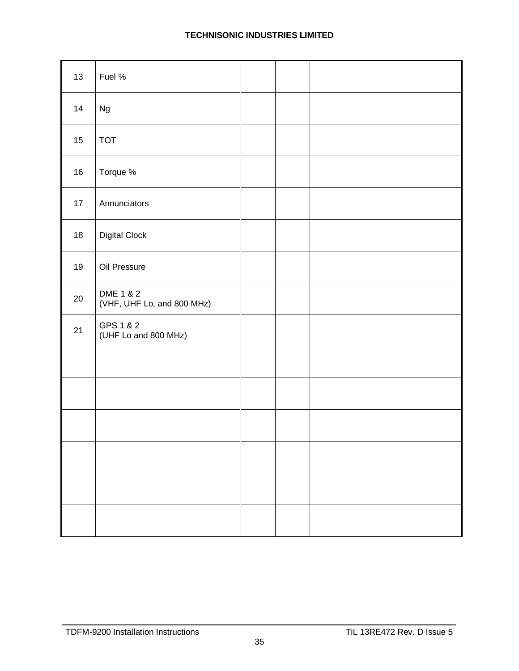| 13 | Fuel %                                  |  |  |
|----|-----------------------------------------|--|--|
| 14 | Ng                                      |  |  |
| 15 | <b>TOT</b>                              |  |  |
| 16 | Torque %                                |  |  |
| 17 | Annunciators                            |  |  |
| 18 | Digital Clock                           |  |  |
| 19 | Oil Pressure                            |  |  |
| 20 | DME 1 & 2<br>(VHF, UHF Lo, and 800 MHz) |  |  |
| 21 | GPS 1 & 2<br>(UHF Lo and 800 MHz)       |  |  |
|    |                                         |  |  |
|    |                                         |  |  |
|    |                                         |  |  |
|    |                                         |  |  |
|    |                                         |  |  |
|    |                                         |  |  |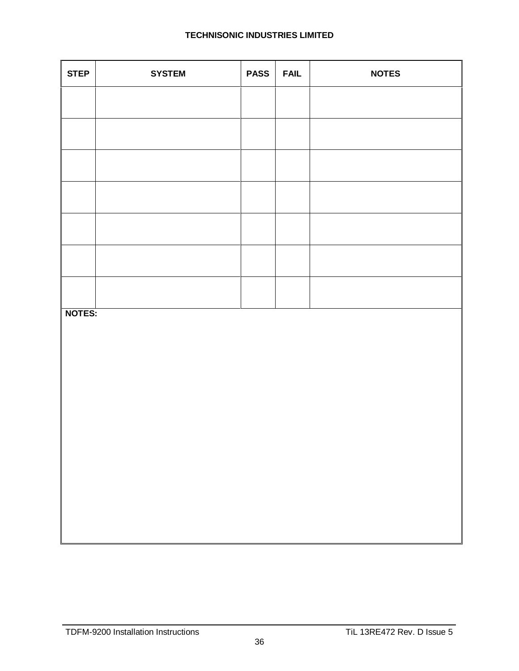| <b>STEP</b> | <b>SYSTEM</b> | <b>PASS</b> | <b>FAIL</b> | <b>NOTES</b> |
|-------------|---------------|-------------|-------------|--------------|
|             |               |             |             |              |
|             |               |             |             |              |
|             |               |             |             |              |
|             |               |             |             |              |
|             |               |             |             |              |
|             |               |             |             |              |
|             |               |             |             |              |
| NOTES:      |               |             |             |              |
|             |               |             |             |              |
|             |               |             |             |              |
|             |               |             |             |              |
|             |               |             |             |              |
|             |               |             |             |              |
|             |               |             |             |              |
|             |               |             |             |              |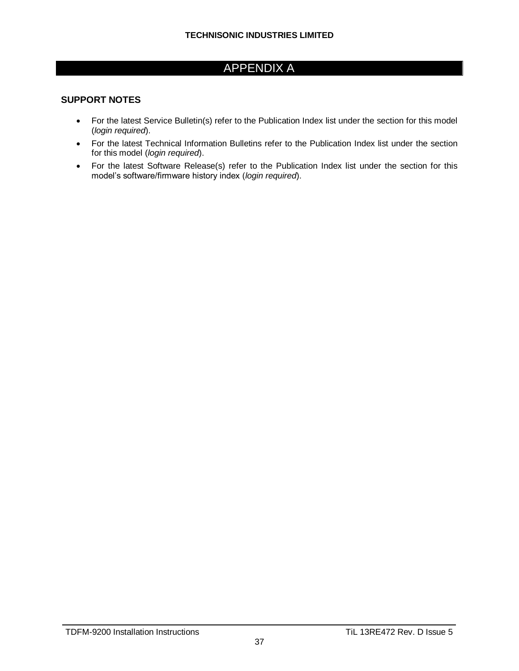# APPENDIX A

### **SUPPORT NOTES**

- For the latest Service Bulletin(s) refer to the Publication Index list under the section for this model (*login required*).
- For the latest Technical Information Bulletins refer to the Publication Index list under the section for this model (*login required*).
- For the latest Software Release(s) refer to the Publication Index list under the section for this model's software/firmware history index (*login required*).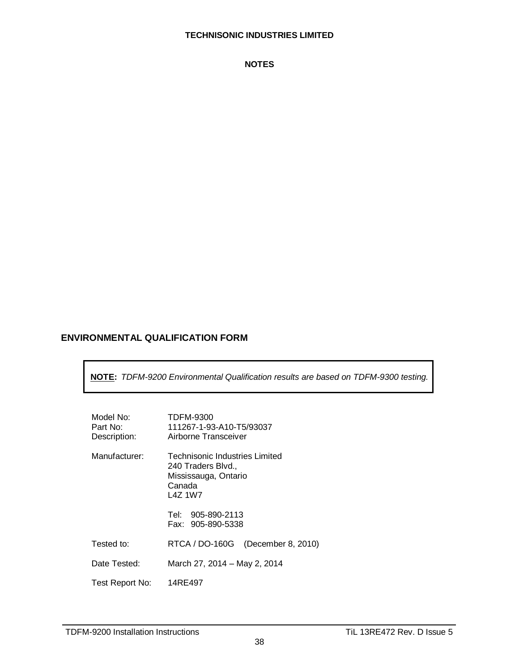**NOTES**

#### **ENVIRONMENTAL QUALIFICATION FORM**

**NOTE:** *TDFM-9200 Environmental Qualification results are based on TDFM-9300 testing.*

| Model No:<br>Part No:<br>Description: | TDFM-9300<br>111267-1-93-A10-T5/93037<br>Airborne Transceiver                                     |  |  |  |
|---------------------------------------|---------------------------------------------------------------------------------------------------|--|--|--|
| Manufacturer:                         | Technisonic Industries Limited<br>240 Traders Blvd.,<br>Mississauga, Ontario<br>Canada<br>L4Z 1W7 |  |  |  |
|                                       | Tel: 905-890-2113<br>Fax: 905-890-5338                                                            |  |  |  |
| Tested to:                            | RTCA / DO-160G<br>(December 8, 2010)                                                              |  |  |  |
| Date Tested:                          | March 27, 2014 - May 2, 2014                                                                      |  |  |  |
| Test Report No:                       | 14RE497                                                                                           |  |  |  |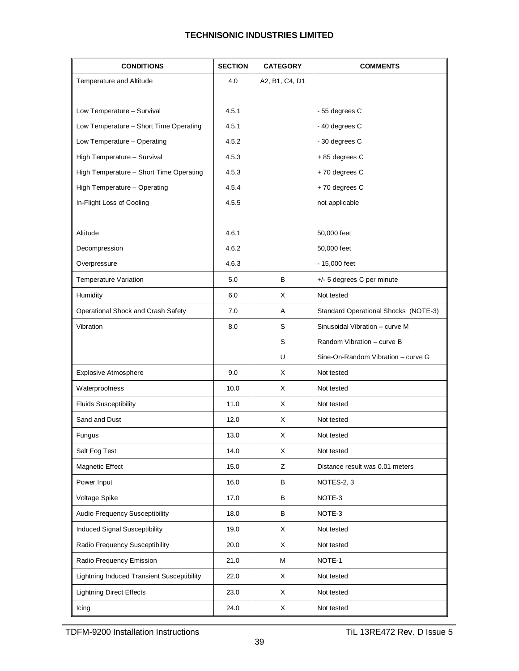| <b>CONDITIONS</b>                          | <b>SECTION</b> | <b>CATEGORY</b> | <b>COMMENTS</b>                      |
|--------------------------------------------|----------------|-----------------|--------------------------------------|
| Temperature and Altitude                   | 4.0            | A2, B1, C4, D1  |                                      |
|                                            |                |                 |                                      |
| Low Temperature - Survival                 | 4.5.1          |                 | - 55 degrees C                       |
| Low Temperature - Short Time Operating     | 4.5.1          |                 | - 40 degrees C                       |
| Low Temperature - Operating                | 4.5.2          |                 | - 30 degrees C                       |
| High Temperature - Survival                | 4.5.3          |                 | +85 degrees C                        |
| High Temperature - Short Time Operating    | 4.5.3          |                 | $+70$ degrees $C$                    |
| High Temperature - Operating               | 4.5.4          |                 | +70 degrees C                        |
| In-Flight Loss of Cooling                  | 4.5.5          |                 | not applicable                       |
|                                            |                |                 |                                      |
| Altitude                                   | 4.6.1          |                 | 50,000 feet                          |
| Decompression                              | 4.6.2          |                 | 50,000 feet                          |
| Overpressure                               | 4.6.3          |                 | $-15,000$ feet                       |
| Temperature Variation                      | 5.0            | В               | +/- 5 degrees C per minute           |
| Humidity                                   | 6.0            | X               | Not tested                           |
| Operational Shock and Crash Safety         | 7.0            | Α               | Standard Operational Shocks (NOTE-3) |
| Vibration                                  | 8.0            | S               | Sinusoidal Vibration - curve M       |
|                                            |                | S               | Random Vibration - curve B           |
|                                            |                | U               | Sine-On-Random Vibration - curve G   |
| Explosive Atmosphere                       | 9.0            | X               | Not tested                           |
| Waterproofness                             | 10.0           | Χ               | Not tested                           |
| <b>Fluids Susceptibility</b>               | 11.0           | X               | Not tested                           |
| Sand and Dust                              | 12.0           | Χ               | Not tested                           |
| Fungus                                     | 13.0           | X               | Not tested                           |
| Salt Fog Test                              | 14.0           | Χ               | Not tested                           |
| <b>Magnetic Effect</b>                     | 15.0           | Ζ               | Distance result was 0.01 meters      |
| Power Input                                | 16.0           | В               | NOTES-2, 3                           |
| Voltage Spike                              | 17.0           | В               | NOTE-3                               |
| Audio Frequency Susceptibility             | 18.0           | В               | NOTE-3                               |
| <b>Induced Signal Susceptibility</b>       | 19.0           | X               | Not tested                           |
| Radio Frequency Susceptibility             | 20.0           | X               | Not tested                           |
| Radio Frequency Emission                   | 21.0           | М               | NOTE-1                               |
| Lightning Induced Transient Susceptibility | 22.0           | X               | Not tested                           |
| <b>Lightning Direct Effects</b>            | 23.0           | X               | Not tested                           |
| Icing                                      | 24.0           | X               | Not tested                           |

TDFM-9200 Installation Instructions TiL 13RE472 Rev. D Issue 5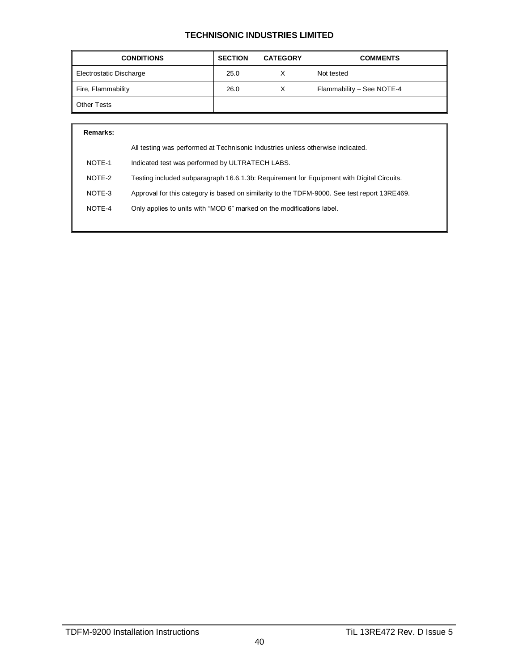| <b>CONDITIONS</b>       | <b>SECTION</b> | <b>CATEGORY</b> | <b>COMMENTS</b>           |
|-------------------------|----------------|-----------------|---------------------------|
| Electrostatic Discharge | 25.0           | x               | Not tested                |
| Fire, Flammability      | 26.0           | x               | Flammability - See NOTE-4 |
| <b>Other Tests</b>      |                |                 |                           |

| Remarks: |                                                                                              |
|----------|----------------------------------------------------------------------------------------------|
|          | All testing was performed at Technisonic Industries unless otherwise indicated.              |
| NOTE-1   | Indicated test was performed by ULTRATECH LABS.                                              |
| NOTE-2   | Testing included subparagraph 16.6.1.3b: Requirement for Equipment with Digital Circuits.    |
| NOTE-3   | Approval for this category is based on similarity to the TDFM-9000. See test report 13RE469. |
| NOTF-4   | Only applies to units with "MOD 6" marked on the modifications label.                        |
|          |                                                                                              |